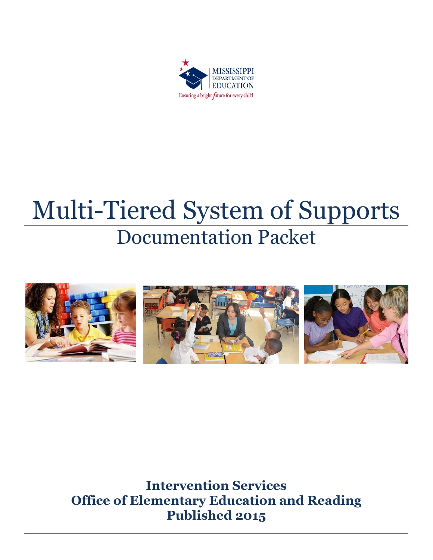

# Multi-Tiered System of Supports Documentation Packet



**Intervention Services Office of Elementary Education and Reading Published 2015**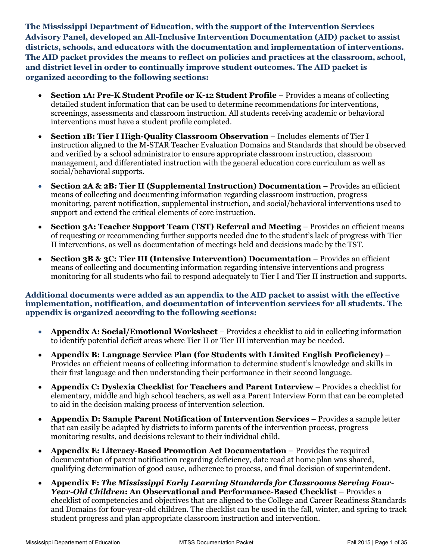**The Mississippi Department of Education, with the support of the Intervention Services Advisory Panel, developed an All-Inclusive Intervention Documentation (AID) packet to assist districts, schools, and educators with the documentation and implementation of interventions. The AID packet provides the means to reflect on policies and practices at the classroom, school, and district level in order to continually improve student outcomes. The AID packet is organized according to the following sections:**

- x **Section 1A: Pre-K Student Profile or K-12 Student Profile**  Provides a means of collecting detailed student information that can be used to determine recommendations for interventions, screenings, assessments and classroom instruction. All students receiving academic or behavioral interventions must have a student profile completed.
- x **Section 1B: Tier I High-Quality Classroom Observation** Includes elements of Tier I instruction aligned to the M-STAR Teacher Evaluation Domains and Standards that should be observed and verified by a school administrator to ensure appropriate classroom instruction, classroom management, and differentiated instruction with the general education core curriculum as well as social/behavioral supports.
- **Section 2A & 2B: Tier II (Supplemental Instruction) Documentation** Provides an efficient means of collecting and documenting information regarding classroom instruction, progress monitoring, parent notification, supplemental instruction, and social/behavioral interventions used to support and extend the critical elements of core instruction.
- Section 3A: Teacher Support Team (TST) Referral and Meeting Provides an efficient means of requesting or recommending further supports needed due to the student's lack of progress with Tier II interventions, as well as documentation of meetings held and decisions made by the TST.
- x **Section 3B & 3C: Tier III (Intensive Intervention) Documentation**  Provides an efficient means of collecting and documenting information regarding intensive interventions and progress monitoring for all students who fail to respond adequately to Tier I and Tier II instruction and supports.

## **Additional documents were added as an appendix to the AID packet to assist with the effective implementation, notification, and documentation of intervention services for all students. The appendix is organized according to the following sections:**

- x **Appendix A: Social/Emotional Worksheet**  Provides a checklist to aid in collecting information to identify potential deficit areas where Tier II or Tier III intervention may be needed.
- x **Appendix B: Language Service Plan (for Students with Limited English Proficiency) –** Provides an efficient means of collecting information to determine student's knowledge and skills in their first language and then understanding their performance in their second language.
- x **Appendix C: Dyslexia Checklist for Teachers and Parent Interview** Provides a checklist for elementary, middle and high school teachers, as well as a Parent Interview Form that can be completed to aid in the decision making process of intervention selection.
- x **Appendix D: Sample Parent Notification of Intervention Services** Provides a sample letter that can easily be adapted by districts to inform parents of the intervention process, progress monitoring results, and decisions relevant to their individual child.
- x **Appendix E: Literacy-Based Promotion Act Documentation –** Provides the required documentation of parent notification regarding deficiency, date read at home plan was shared, qualifying determination of good cause, adherence to process, and final decision of superintendent.
- x **Appendix F:** *The Mississippi Early Learning Standards for Classrooms Serving Four-Year-Old Children***: An Observational and Performance-Based Checklist –** Provides a checklist of competencies and objectives that are aligned to the College and Career Readiness Standards and Domains for four-year-old children. The checklist can be used in the fall, winter, and spring to track student progress and plan appropriate classroom instruction and intervention.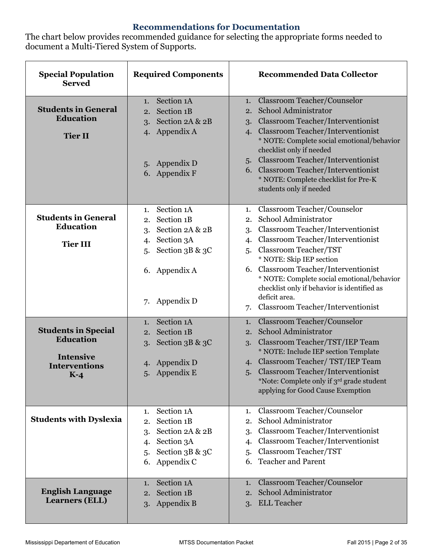# **Recommendations for Documentation**

The chart below provides recommended guidance for selecting the appropriate forms needed to document a Multi-Tiered System of Supports.

| <b>Special Population</b><br><b>Served</b>                                                          | <b>Required Components</b>                                                                                                                      | <b>Recommended Data Collector</b>                                                                                                                                                                                                                                                                                                                                                                                            |
|-----------------------------------------------------------------------------------------------------|-------------------------------------------------------------------------------------------------------------------------------------------------|------------------------------------------------------------------------------------------------------------------------------------------------------------------------------------------------------------------------------------------------------------------------------------------------------------------------------------------------------------------------------------------------------------------------------|
| <b>Students in General</b><br><b>Education</b><br><b>Tier II</b>                                    | Section 1A<br>1.<br>Section 1B<br>2.<br>Section 2A & 2B<br>3.<br>Appendix A<br>4.<br>5. Appendix D<br>6. Appendix F                             | 1. Classroom Teacher/Counselor<br>School Administrator<br>2.<br>3. Classroom Teacher/Interventionist<br><b>Classroom Teacher/Interventionist</b><br>$\mathbf{4}$<br>* NOTE: Complete social emotional/behavior<br>checklist only if needed<br>5. Classroom Teacher/Interventionist<br>6. Classroom Teacher/Interventionist<br>* NOTE: Complete checklist for Pre-K<br>students only if needed                                |
| <b>Students in General</b><br>Education<br><b>Tier III</b>                                          | Section 1A<br>1.<br>Section 1B<br>2.<br>Section 2A & 2B<br>3.<br>Section 3A<br>4.<br>Section 3B & 3C<br>5.<br>6. Appendix A<br>Appendix D<br>7. | Classroom Teacher/Counselor<br>1.<br>School Administrator<br>2.<br><b>Classroom Teacher/Interventionist</b><br>3.<br><b>Classroom Teacher/Interventionist</b><br>4.<br>Classroom Teacher/TST<br>5.<br>* NOTE: Skip IEP section<br>6. Classroom Teacher/Interventionist<br>* NOTE: Complete social emotional/behavior<br>checklist only if behavior is identified as<br>deficit area.<br>7. Classroom Teacher/Interventionist |
| <b>Students in Special</b><br><b>Education</b><br><b>Intensive</b><br><b>Interventions</b><br>$K-4$ | Section 1A<br>1.<br>Section 1B<br>2.<br>Section 3B & 3C<br>3.<br>Appendix D<br>4.<br>5. Appendix E                                              | Classroom Teacher/Counselor<br>1.<br>School Administrator<br>2.<br>Classroom Teacher/TST/IEP Team<br>3.<br>* NOTE: Include IEP section Template<br>4. Classroom Teacher/TST/IEP Team<br>5. Classroom Teacher/Interventionist<br>*Note: Complete only if 3rd grade student<br>applying for Good Cause Exemption                                                                                                               |
| <b>Students with Dyslexia</b>                                                                       | Section 1A<br>1.<br>Section 1B<br>2.<br>Section 2A & 2B<br>3.<br>Section 3A<br>4.<br>Section 3B & 3C<br>5.<br>Appendix C<br>6.                  | Classroom Teacher/Counselor<br>1.<br>School Administrator<br>2.<br>Classroom Teacher/Interventionist<br>3.<br>Classroom Teacher/Interventionist<br>4.<br>Classroom Teacher/TST<br>5.<br><b>Teacher and Parent</b><br>6.                                                                                                                                                                                                      |
| <b>English Language</b><br><b>Learners (ELL)</b>                                                    | Section 1A<br>1.<br>Section 1B<br>2.<br>Appendix B<br>3.                                                                                        | <b>Classroom Teacher/Counselor</b><br>1.<br>School Administrator<br>2.<br><b>ELL Teacher</b><br>3.                                                                                                                                                                                                                                                                                                                           |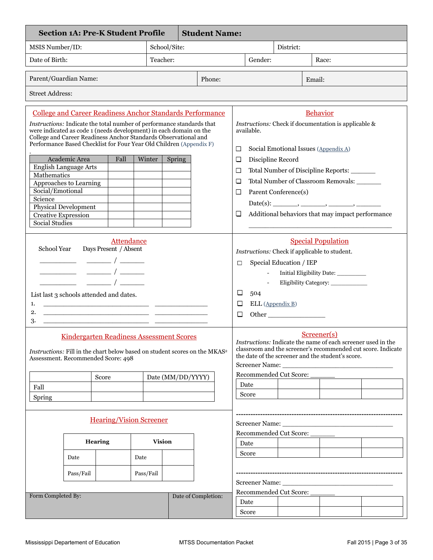| <b>Student Name:</b><br><b>Section 1A: Pre-K Student Profile</b>                                                                                                                                                                                                                                                                                                                                                                                              |               |                |                                                                                                                                         |                   |                                                     |                         |                        |                                                                                                                                                           |                                                              |        |                                                  |  |
|---------------------------------------------------------------------------------------------------------------------------------------------------------------------------------------------------------------------------------------------------------------------------------------------------------------------------------------------------------------------------------------------------------------------------------------------------------------|---------------|----------------|-----------------------------------------------------------------------------------------------------------------------------------------|-------------------|-----------------------------------------------------|-------------------------|------------------------|-----------------------------------------------------------------------------------------------------------------------------------------------------------|--------------------------------------------------------------|--------|--------------------------------------------------|--|
| MSIS Number/ID:                                                                                                                                                                                                                                                                                                                                                                                                                                               |               |                |                                                                                                                                         | School/Site:      |                                                     |                         |                        |                                                                                                                                                           | District:                                                    |        |                                                  |  |
| Date of Birth:                                                                                                                                                                                                                                                                                                                                                                                                                                                |               |                |                                                                                                                                         | Teacher:          |                                                     |                         | Gender:                |                                                                                                                                                           |                                                              | Race:  |                                                  |  |
| Parent/Guardian Name:                                                                                                                                                                                                                                                                                                                                                                                                                                         |               |                |                                                                                                                                         |                   |                                                     | Phone:                  |                        |                                                                                                                                                           |                                                              | Email: |                                                  |  |
| <b>Street Address:</b>                                                                                                                                                                                                                                                                                                                                                                                                                                        |               |                |                                                                                                                                         |                   |                                                     |                         |                        |                                                                                                                                                           |                                                              |        |                                                  |  |
| <b>College and Career Readiness Anchor Standards Performance</b><br>Instructions: Indicate the total number of performance standards that<br>were indicated as code 1 (needs development) in each domain on the<br>College and Career Readiness Anchor Standards Observational and<br>Performance Based Checklist for Four Year Old Children (Appendix F)                                                                                                     |               |                | <b>Behavior</b><br>Instructions: Check if documentation is applicable &<br>available.<br>Social Emotional Issues (Appendix A)<br>$\Box$ |                   |                                                     |                         |                        |                                                                                                                                                           |                                                              |        |                                                  |  |
|                                                                                                                                                                                                                                                                                                                                                                                                                                                               | Academic Area | Fall           | Winter                                                                                                                                  | Spring            |                                                     |                         | $\Box$                 | Discipline Record                                                                                                                                         |                                                              |        |                                                  |  |
| <b>English Language Arts</b>                                                                                                                                                                                                                                                                                                                                                                                                                                  |               |                |                                                                                                                                         |                   |                                                     |                         | $\Box$                 |                                                                                                                                                           |                                                              |        | Total Number of Discipline Reports:              |  |
| <b>Mathematics</b>                                                                                                                                                                                                                                                                                                                                                                                                                                            |               |                |                                                                                                                                         |                   |                                                     |                         | □                      |                                                                                                                                                           |                                                              |        | Total Number of Classroom Removals: ______       |  |
| Approaches to Learning                                                                                                                                                                                                                                                                                                                                                                                                                                        |               |                |                                                                                                                                         |                   |                                                     |                         |                        |                                                                                                                                                           |                                                              |        |                                                  |  |
| Social/Emotional<br>Science                                                                                                                                                                                                                                                                                                                                                                                                                                   |               |                |                                                                                                                                         |                   |                                                     |                         | □                      |                                                                                                                                                           | Parent Conference(s)                                         |        |                                                  |  |
| Physical Development                                                                                                                                                                                                                                                                                                                                                                                                                                          |               |                |                                                                                                                                         |                   |                                                     |                         |                        |                                                                                                                                                           |                                                              |        | Date(s): ________, _______, _______, ________,   |  |
| <b>Creative Expression</b>                                                                                                                                                                                                                                                                                                                                                                                                                                    |               |                |                                                                                                                                         |                   |                                                     |                         | $\Box$                 |                                                                                                                                                           |                                                              |        | Additional behaviors that may impact performance |  |
| <b>Social Studies</b>                                                                                                                                                                                                                                                                                                                                                                                                                                         |               |                |                                                                                                                                         |                   |                                                     |                         |                        |                                                                                                                                                           |                                                              |        |                                                  |  |
|                                                                                                                                                                                                                                                                                                                                                                                                                                                               |               |                |                                                                                                                                         |                   |                                                     |                         |                        |                                                                                                                                                           |                                                              |        |                                                  |  |
| <b>Attendance</b><br>Days Present / Absent<br>School Year<br>$\frac{1}{\sqrt{1-\frac{1}{2}}}\frac{1}{\sqrt{1-\frac{1}{2}}}\left( \frac{1}{\sqrt{1-\frac{1}{2}}}\right)$<br>$\frac{\phantom{aaaa}}{\phantom{aaaa}}$ $\phantom{aaaa}$ $\phantom{aaaa}$ $\phantom{aaaa}$<br>List last 3 schools attended and dates.<br>1.<br><u> 1989 - Johann John Stone, mensk politik (f. 1989)</u><br>2.<br><u> 1989 - Johann Barn, amerikansk politiker (d. 1989)</u><br>3. |               |                |                                                                                                                                         | □<br>□<br>□<br>□  | $\overline{\phantom{a}}$<br>504<br>ELL (Appendix B) | Special Education / IEP |                        | <b>Special Population</b><br>Instructions: Check if applicable to student.<br>Initial Eligibility Date: __________<br>Eligibility Category:               |                                                              |        |                                                  |  |
| <b>Kindergarten Readiness Assessment Scores</b><br>Instructions: Fill in the chart below based on student scores on the MKAS <sup>2</sup><br>Assessment. Recommended Score: 498                                                                                                                                                                                                                                                                               |               |                |                                                                                                                                         |                   |                                                     |                         |                        | Screener(s)<br><i>Instructions:</i> Indicate the name of each screener used in the<br>the date of the screener and the student's score.<br>Screener Name: | classroom and the screener's recommended cut score. Indicate |        |                                                  |  |
|                                                                                                                                                                                                                                                                                                                                                                                                                                                               |               | Score          |                                                                                                                                         | Date (MM/DD/YYYY) |                                                     |                         |                        | Recommended Cut Score:                                                                                                                                    |                                                              |        |                                                  |  |
| Fall                                                                                                                                                                                                                                                                                                                                                                                                                                                          |               |                |                                                                                                                                         |                   |                                                     |                         |                        | Date                                                                                                                                                      |                                                              |        |                                                  |  |
|                                                                                                                                                                                                                                                                                                                                                                                                                                                               |               |                |                                                                                                                                         |                   |                                                     |                         |                        | Score                                                                                                                                                     |                                                              |        |                                                  |  |
| <b>Spring</b>                                                                                                                                                                                                                                                                                                                                                                                                                                                 |               |                |                                                                                                                                         |                   |                                                     |                         |                        |                                                                                                                                                           |                                                              |        |                                                  |  |
| <b>Hearing/Vision Screener</b>                                                                                                                                                                                                                                                                                                                                                                                                                                |               |                |                                                                                                                                         |                   |                                                     |                         |                        |                                                                                                                                                           |                                                              |        |                                                  |  |
|                                                                                                                                                                                                                                                                                                                                                                                                                                                               |               |                | Recommended Cut Score:                                                                                                                  |                   |                                                     |                         |                        |                                                                                                                                                           |                                                              |        |                                                  |  |
|                                                                                                                                                                                                                                                                                                                                                                                                                                                               |               | <b>Hearing</b> |                                                                                                                                         | <b>Vision</b>     |                                                     |                         |                        | Date                                                                                                                                                      |                                                              |        |                                                  |  |
|                                                                                                                                                                                                                                                                                                                                                                                                                                                               |               |                |                                                                                                                                         |                   |                                                     |                         |                        | Score                                                                                                                                                     |                                                              |        |                                                  |  |
|                                                                                                                                                                                                                                                                                                                                                                                                                                                               | Date          |                | Date                                                                                                                                    |                   |                                                     |                         |                        |                                                                                                                                                           |                                                              |        |                                                  |  |
|                                                                                                                                                                                                                                                                                                                                                                                                                                                               | Pass/Fail     |                | Pass/Fail                                                                                                                               |                   |                                                     |                         |                        |                                                                                                                                                           |                                                              |        |                                                  |  |
|                                                                                                                                                                                                                                                                                                                                                                                                                                                               |               |                |                                                                                                                                         |                   |                                                     |                         |                        |                                                                                                                                                           |                                                              |        |                                                  |  |
|                                                                                                                                                                                                                                                                                                                                                                                                                                                               |               |                |                                                                                                                                         |                   |                                                     |                         | Recommended Cut Score: |                                                                                                                                                           |                                                              |        |                                                  |  |
| Form Completed By:                                                                                                                                                                                                                                                                                                                                                                                                                                            |               |                |                                                                                                                                         |                   |                                                     | Date of Completion:     |                        |                                                                                                                                                           |                                                              |        |                                                  |  |
|                                                                                                                                                                                                                                                                                                                                                                                                                                                               |               |                |                                                                                                                                         |                   |                                                     |                         |                        | Date                                                                                                                                                      |                                                              |        |                                                  |  |
|                                                                                                                                                                                                                                                                                                                                                                                                                                                               |               |                |                                                                                                                                         |                   |                                                     |                         |                        | Score                                                                                                                                                     |                                                              |        |                                                  |  |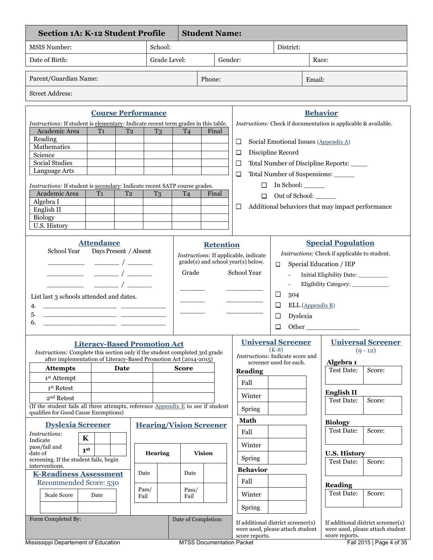| <b>Section 1A: K-12 Student Profile</b>                                                                                                         |                                                                                                                                                                                                                                 |                                |                     | <b>Student Name:</b>             |                                                                                                   |                                                                          |                                                                                                                                                                   |
|-------------------------------------------------------------------------------------------------------------------------------------------------|---------------------------------------------------------------------------------------------------------------------------------------------------------------------------------------------------------------------------------|--------------------------------|---------------------|----------------------------------|---------------------------------------------------------------------------------------------------|--------------------------------------------------------------------------|-------------------------------------------------------------------------------------------------------------------------------------------------------------------|
| <b>MSIS Number:</b>                                                                                                                             |                                                                                                                                                                                                                                 | School:                        |                     |                                  |                                                                                                   | District:                                                                |                                                                                                                                                                   |
| Date of Birth:                                                                                                                                  |                                                                                                                                                                                                                                 | Grade Level:                   | Gender:             |                                  |                                                                                                   | Race:                                                                    |                                                                                                                                                                   |
|                                                                                                                                                 |                                                                                                                                                                                                                                 |                                |                     |                                  |                                                                                                   |                                                                          |                                                                                                                                                                   |
| Parent/Guardian Name:                                                                                                                           |                                                                                                                                                                                                                                 |                                |                     | Phone:                           |                                                                                                   |                                                                          | Email:                                                                                                                                                            |
| <b>Street Address:</b>                                                                                                                          |                                                                                                                                                                                                                                 |                                |                     |                                  |                                                                                                   |                                                                          |                                                                                                                                                                   |
|                                                                                                                                                 | <b>Course Performance</b>                                                                                                                                                                                                       |                                |                     |                                  |                                                                                                   |                                                                          | <b>Behavior</b>                                                                                                                                                   |
| Instructions: If student is elementary: Indicate recent term grades in this table.                                                              |                                                                                                                                                                                                                                 |                                |                     |                                  |                                                                                                   |                                                                          | Instructions: Check if documentation is applicable & available.                                                                                                   |
| Academic Area<br>Reading                                                                                                                        | T <sub>1</sub><br>T <sub>2</sub>                                                                                                                                                                                                | T <sub>3</sub>                 | T <sub>4</sub>      | Final                            |                                                                                                   |                                                                          |                                                                                                                                                                   |
| Mathematics                                                                                                                                     |                                                                                                                                                                                                                                 |                                |                     |                                  | $\Box$                                                                                            |                                                                          | Social Emotional Issues (Appendix A)                                                                                                                              |
| Science                                                                                                                                         |                                                                                                                                                                                                                                 |                                |                     |                                  | □                                                                                                 | Discipline Record                                                        |                                                                                                                                                                   |
| <b>Social Studies</b>                                                                                                                           |                                                                                                                                                                                                                                 |                                |                     |                                  | □                                                                                                 |                                                                          | Total Number of Discipline Reports: _____                                                                                                                         |
| Language Arts                                                                                                                                   |                                                                                                                                                                                                                                 |                                |                     |                                  | □                                                                                                 |                                                                          | Total Number of Suspensions:                                                                                                                                      |
| Instructions: If student is secondary: Indicate recent SATP course grades.                                                                      |                                                                                                                                                                                                                                 |                                |                     |                                  |                                                                                                   | $\Box$ In School: $\_\_\_\_\_\_\_\_\$                                    |                                                                                                                                                                   |
| Academic Area                                                                                                                                   | T <sub>2</sub><br>T1                                                                                                                                                                                                            | T <sub>3</sub>                 | T <sub>4</sub>      | Final                            | □                                                                                                 | Out of School:                                                           |                                                                                                                                                                   |
| Algebra I                                                                                                                                       |                                                                                                                                                                                                                                 |                                |                     |                                  | $\Box$                                                                                            |                                                                          | Additional behaviors that may impact performance                                                                                                                  |
| English II                                                                                                                                      |                                                                                                                                                                                                                                 |                                |                     |                                  |                                                                                                   |                                                                          |                                                                                                                                                                   |
| Biology<br>U.S. History                                                                                                                         |                                                                                                                                                                                                                                 |                                |                     |                                  |                                                                                                   |                                                                          |                                                                                                                                                                   |
|                                                                                                                                                 |                                                                                                                                                                                                                                 |                                |                     |                                  |                                                                                                   |                                                                          |                                                                                                                                                                   |
| School Year<br>List last 3 schools attended and dates.<br>4.<br><u> 1989 - Johann John Stone, mensk politik (d. 1989)</u><br>5.<br>6.           | <b>Attendance</b><br>Days Present / Absent<br><u> 1989 - Johann John Stone, meil in der Stone aus der Stone aus der Stone aus der Stone aus der Stone anderes</u><br><u> 1989 - Johann John Stein, fransk politik (d. 1989)</u> |                                | Grade               | <b>Retention</b>                 | Instructions: If applicable, indicate<br>grade(s) and school year(s) below.<br><b>School Year</b> | $\Box$<br>□<br>504<br>□<br>Dyslexia<br>□<br>□                            | <b>Special Population</b><br>Instructions: Check if applicable to student.<br>Special Education / IEP<br>Initial Eligibility Date: __________<br>ELL (Appendix B) |
| Instructions: Complete this section only if the student completed 3rd grade<br>after implementation of Literacy-Based Promotion Act (2014-2015) | <b>Literacy-Based Promotion Act</b>                                                                                                                                                                                             |                                |                     |                                  |                                                                                                   | <b>Universal Screener</b><br>$(K-8)$<br>Instructions: Indicate score and | <b>Universal Screener</b><br>$(9 - 12)$                                                                                                                           |
| <b>Attempts</b>                                                                                                                                 | Date                                                                                                                                                                                                                            |                                | <b>Score</b>        |                                  | <b>Reading</b>                                                                                    | screener used for each.                                                  | Algebra <sub>1</sub><br><b>Test Date:</b><br>Score:                                                                                                               |
| 1 <sup>st</sup> Attempt                                                                                                                         |                                                                                                                                                                                                                                 |                                |                     |                                  |                                                                                                   |                                                                          |                                                                                                                                                                   |
| 1st Retest                                                                                                                                      |                                                                                                                                                                                                                                 |                                |                     |                                  | Fall                                                                                              |                                                                          |                                                                                                                                                                   |
| 2 <sup>nd</sup> Retest                                                                                                                          |                                                                                                                                                                                                                                 |                                |                     |                                  | Winter                                                                                            |                                                                          | <b>English II</b><br><b>Test Date:</b><br>Score:                                                                                                                  |
| (If the student fails all three attempts, reference Appendix E to see if student                                                                |                                                                                                                                                                                                                                 |                                |                     |                                  | Spring                                                                                            |                                                                          |                                                                                                                                                                   |
| qualifies for Good Cause Exemptions)                                                                                                            |                                                                                                                                                                                                                                 |                                |                     |                                  | <b>Math</b>                                                                                       |                                                                          |                                                                                                                                                                   |
| <b>Dyslexia Screener</b>                                                                                                                        |                                                                                                                                                                                                                                 | <b>Hearing/Vision Screener</b> |                     |                                  |                                                                                                   |                                                                          | <b>Biology</b><br><b>Test Date:</b><br>Score:                                                                                                                     |
| Instructions:<br>$\mathbf K$                                                                                                                    |                                                                                                                                                                                                                                 |                                |                     |                                  | Fall                                                                                              |                                                                          |                                                                                                                                                                   |
| Indicate<br>pass/fail and                                                                                                                       |                                                                                                                                                                                                                                 |                                |                     |                                  | Winter                                                                                            |                                                                          |                                                                                                                                                                   |
| 1 <sup>st</sup><br>date of<br>screening. If the student fails, begin                                                                            |                                                                                                                                                                                                                                 | Hearing                        |                     | <b>Vision</b>                    | Spring                                                                                            |                                                                          | <b>U.S. History</b>                                                                                                                                               |
| interventions.                                                                                                                                  |                                                                                                                                                                                                                                 |                                |                     |                                  |                                                                                                   |                                                                          | <b>Test Date:</b><br>Score:                                                                                                                                       |
| <b>K-Readiness Assessment</b>                                                                                                                   |                                                                                                                                                                                                                                 | Date                           | Date                |                                  | <b>Behavior</b>                                                                                   |                                                                          |                                                                                                                                                                   |
| Recommended Score: 530                                                                                                                          |                                                                                                                                                                                                                                 |                                |                     |                                  | Fall                                                                                              |                                                                          | Reading                                                                                                                                                           |
| Scale Score                                                                                                                                     | Date                                                                                                                                                                                                                            | Pass/<br>Fail                  | Pass/<br>Fail       |                                  | Winter                                                                                            |                                                                          | <b>Test Date:</b><br>Score:                                                                                                                                       |
|                                                                                                                                                 |                                                                                                                                                                                                                                 |                                |                     |                                  | Spring                                                                                            |                                                                          |                                                                                                                                                                   |
| Form Completed By:                                                                                                                              |                                                                                                                                                                                                                                 |                                | Date of Completion: |                                  |                                                                                                   |                                                                          |                                                                                                                                                                   |
|                                                                                                                                                 |                                                                                                                                                                                                                                 |                                |                     |                                  | score reports.                                                                                    | If additional district screener(s)<br>were used, please attach student   | If additional district screener(s)<br>were used, please attach student<br>score reports.                                                                          |
| Mississippi Departement of Education                                                                                                            |                                                                                                                                                                                                                                 |                                |                     | <b>MTSS Documentation Packet</b> |                                                                                                   |                                                                          | Fall 2015   Page 4 of 35                                                                                                                                          |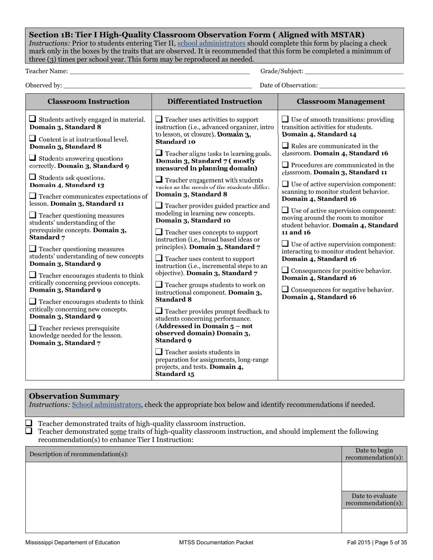**Section 1B: Tier I High-Quality Classroom Observation Form ( Aligned with MSTAR)**  *Instructions:* Prior to students entering Tier II, school administrators should complete this form by placing a check mark only in the boxes by the traits that are observed. It is recommended that this form be completed a minimum of three (3) times per school year. This form may be reproduced as needed.

Teacher Name: \_\_\_\_\_\_\_\_\_\_\_\_\_\_\_\_\_\_\_\_\_\_\_\_\_\_\_\_\_\_\_\_\_\_\_\_\_\_\_\_\_\_\_\_ Grade/Subject: \_\_\_\_\_\_\_\_\_\_\_\_\_\_\_\_\_\_\_\_\_\_\_\_

Observed by: \_\_\_\_\_\_\_\_\_\_\_\_\_\_\_\_\_\_\_\_\_\_\_\_\_\_\_\_\_\_\_\_\_\_\_\_\_\_\_\_\_\_\_\_\_\_ Date of Observation: \_\_\_\_\_\_\_\_\_\_\_\_\_\_\_\_\_\_\_\_\_

| <b>Classroom Instruction</b>                                                                                                                                                                                                                                                                                                                                                                                                                                                                           | <b>Differentiated Instruction</b>                                                                                                                                                                                                                                                                                                                                                                                                                                                                                                      | <b>Classroom Management</b>                                                                                                                                                                                                                                                                                                                                                                                                                                                   |
|--------------------------------------------------------------------------------------------------------------------------------------------------------------------------------------------------------------------------------------------------------------------------------------------------------------------------------------------------------------------------------------------------------------------------------------------------------------------------------------------------------|----------------------------------------------------------------------------------------------------------------------------------------------------------------------------------------------------------------------------------------------------------------------------------------------------------------------------------------------------------------------------------------------------------------------------------------------------------------------------------------------------------------------------------------|-------------------------------------------------------------------------------------------------------------------------------------------------------------------------------------------------------------------------------------------------------------------------------------------------------------------------------------------------------------------------------------------------------------------------------------------------------------------------------|
| $\Box$ Students actively engaged in material.<br>Domain 3, Standard 8<br>$\Box$ Content is at instructional level.<br>Domain 3, Standard 8<br>$\Box$ Students answering questions<br>correctly. Domain 3, Standard 9<br>$\Box$ Students ask questions.<br>Domain 4, Standard 13<br>$\Box$ Teacher communicates expectations of<br>lesson. Domain 3, Standard 11<br>$\Box$ Teacher questioning measures                                                                                                 | $\Box$ Teacher uses activities to support<br>instruction (i.e., advanced organizer, intro<br>to lesson, or closure). Domain 3,<br><b>Standard 10</b><br>$\Box$ Teacher aligns tasks to learning goals.<br>Domain 3, Standard 7 (mostly<br>measured in planning domain)<br>$\Box$ Teacher engagement with students<br>varies as the needs of the students differ.<br>Domain 3, Standard 8<br>$\Box$ Teacher provides guided practice and<br>modeling in learning new concepts.                                                          | $\Box$ Use of smooth transitions: providing<br>transition activities for students.<br>Domain 4, Standard 14<br>$\Box$ Rules are communicated in the<br>classroom. Domain 4, Standard 16<br>$\Box$ Procedures are communicated in the<br>classroom. Domain 3, Standard 11<br>$\Box$ Use of active supervision component:<br>scanning to monitor student behavior.<br>Domain 4, Standard 16<br>$\Box$ Use of active supervision component:<br>moving around the room to monitor |
| students' understanding of the<br>prerequisite concepts. Domain 3,<br>Standard 7<br>$\Box$ Teacher questioning measures<br>students' understanding of new concepts<br>Domain 3, Standard 9<br>$\Box$ Teacher encourages students to think<br>critically concerning previous concepts.<br>Domain 3, Standard 9<br>$\Box$ Teacher encourages students to think<br>critically concerning new concepts.<br>Domain 3, Standard 9<br>$\Box$ Teacher reviews prerequisite<br>knowledge needed for the lesson. | Domain 3, Standard 10<br>$\Box$ Teacher uses concepts to support<br>instruction (i.e., broad based ideas or<br>principles). Domain 3, Standard 7<br>$\Box$ Teacher uses content to support<br>instruction (i.e., incremental steps to an<br>objective). Domain 3, Standard 7<br>$\Box$ Teacher groups students to work on<br>instructional component. Domain 3,<br><b>Standard 8</b><br>$\Box$ Teacher provides prompt feedback to<br>students concerning performance.<br>(Addressed in Domain $5$ – not<br>observed domain) Domain 3, | student behavior. Domain 4, Standard<br>11 and 16<br>$\Box$ Use of active supervision component:<br>interacting to monitor student behavior.<br>Domain 4, Standard 16<br>$\Box$ Consequences for positive behavior.<br>Domain 4, Standard 16<br>$\Box$ Consequences for negative behavior.<br>Domain 4, Standard 16                                                                                                                                                           |
| Domain 3, Standard 7                                                                                                                                                                                                                                                                                                                                                                                                                                                                                   | Standard 9<br>$\Box$ Teacher assists students in<br>preparation for assignments, long-range<br>projects, and tests. Domain 4,<br>Standard 15                                                                                                                                                                                                                                                                                                                                                                                           |                                                                                                                                                                                                                                                                                                                                                                                                                                                                               |

## **Observation Summary**

*Instructions:* School administrators, check the appropriate box below and identify recommendations if needed.

□ Teacher demonstrated traits of high-quality classroom instruction.

Teacher demonstrated some traits of high-quality classroom instruction, and should implement the following □ recommendation(s) to enhance Tier I Instruction:

Description of recommendation(s): Date to begin

recommendation(s):

Date to evaluate recommendation(s):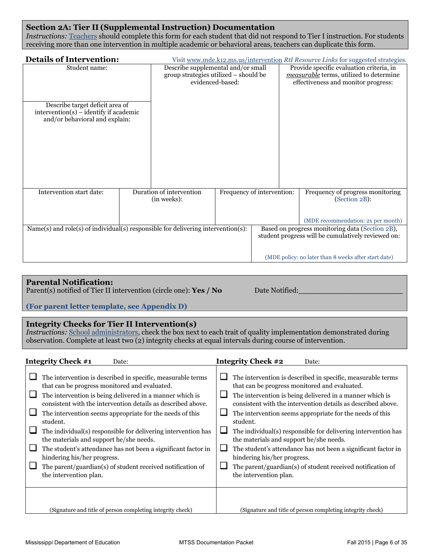## **Section 2A: Tier II (Supplemental Instruction) Documentation**

*Instructions:* Teachers should complete this form for each student that did not respond to Tier I instruction. For students receiving more than one intervention in multiple academic or behavioral areas, teachers can duplicate this form.

| <b>Details of Intervention:</b>                                                                               |  |                                                                                                 |                            |                                                                                                                            | Visit www.mde.k12.ms.us/intervention RtI Resource Links for suggested strategies.                     |
|---------------------------------------------------------------------------------------------------------------|--|-------------------------------------------------------------------------------------------------|----------------------------|----------------------------------------------------------------------------------------------------------------------------|-------------------------------------------------------------------------------------------------------|
| Student name:                                                                                                 |  | Describe supplemental and/or small<br>group strategies utilized – should be<br>evidenced-based: |                            | Provide specific evaluation criteria, in<br>measurable terms, utilized to determine<br>effectiveness and monitor progress: |                                                                                                       |
|                                                                                                               |  |                                                                                                 |                            |                                                                                                                            |                                                                                                       |
| Describe target deficit area of<br>$intervention(s) - identity if academic$<br>and/or behavioral and explain: |  |                                                                                                 |                            |                                                                                                                            |                                                                                                       |
|                                                                                                               |  |                                                                                                 |                            |                                                                                                                            |                                                                                                       |
|                                                                                                               |  |                                                                                                 |                            |                                                                                                                            |                                                                                                       |
|                                                                                                               |  |                                                                                                 |                            |                                                                                                                            |                                                                                                       |
| Intervention start date:                                                                                      |  | Duration of intervention<br>(in weeks):                                                         | Frequency of intervention: |                                                                                                                            | Frequency of progress monitoring<br>(Section 2B):                                                     |
|                                                                                                               |  |                                                                                                 |                            |                                                                                                                            | (MDE recommendation: 2x per month)                                                                    |
| Name(s) and $role(s)$ of individual(s) responsible for delivering intervention(s):                            |  |                                                                                                 |                            |                                                                                                                            | Based on progress monitoring data (Section 2B),<br>student progress will be cumulatively reviewed on: |
|                                                                                                               |  |                                                                                                 |                            |                                                                                                                            | (MDE policy: no later than 8 weeks after start date)                                                  |

## **Parental Notification:**

Parent(s) notified of Tier II intervention (circle one): **Yes / No** Date Notified:

**(For parent letter template, see Appendix D)**

## **Integrity Checks for Tier II Intervention(s)**

*Instructions:* School administrators, check the box next to each trait of quality implementation demonstrated during observation. Complete at least two (2) integrity checks at equal intervals during course of intervention.

| Integrity Check #1                                            | <b>Integrity Check #2</b>                                     |
|---------------------------------------------------------------|---------------------------------------------------------------|
| Date:                                                         | Date:                                                         |
| The intervention is described in specific, measurable terms   | The intervention is described in specific, measurable terms   |
| that can be progress monitored and evaluated.                 | that can be progress monitored and evaluated.                 |
| The intervention is being delivered in a manner which is      | The intervention is being delivered in a manner which is      |
| consistent with the intervention details as described above.  | consistent with the intervention details as described above.  |
| The intervention seems appropriate for the needs of this      | The intervention seems appropriate for the needs of this      |
| student.                                                      | student.                                                      |
| The individual(s) responsible for delivering intervention has | The individual(s) responsible for delivering intervention has |
| the materials and support he/she needs.                       | the materials and support he/she needs.                       |
| The student's attendance has not been a significant factor in | The student's attendance has not been a significant factor in |
| hindering his/her progress.                                   | hindering his/her progress.                                   |
| The parent/guardian(s) of student received notification of    | The parent/guardian(s) of student received notification of    |
| the intervention plan.                                        | the intervention plan.                                        |
| (Signature and title of person completing integrity check)    | (Signature and title of person completing integrity check)    |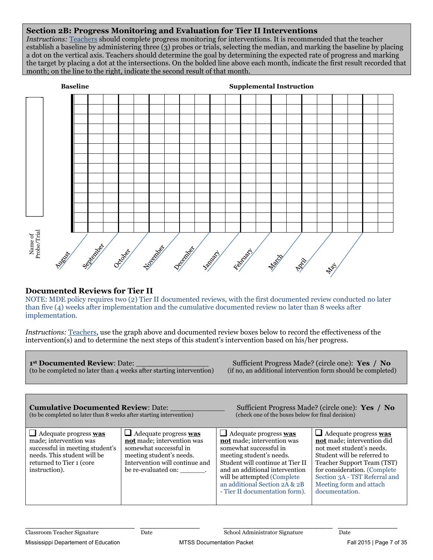## **Section 2B: Progress Monitoring and Evaluation for Tier II Interventions**

*Instructions:* Teachers should complete progress monitoring for interventions. It is recommended that the teacher establish a baseline by administering three (3) probes or trials, selecting the median, and marking the baseline by placing a dot on the vertical axis. Teachers should determine the goal by determining the expected rate of progress and marking the target by placing a dot at the intersections. On the bolded line above each month, indicate the first result recorded that month; on the line to the right, indicate the second result of that month.



## **Documented Reviews for Tier II**

NOTE: MDE policy requires two (2) Tier II documented reviews, with the first documented review conducted no later than five (4) weeks after implementation and the cumulative documented review no later than 8 weeks after implementation.

*Instructions:* Teachers, use the graph above and documented review boxes below to record the effectiveness of the intervention(s) and to determine the next steps of this student's intervention based on his/her progress.

**1st Documented Review**: Date: \_\_\_\_\_\_\_\_\_\_\_\_\_\_\_\_ Sufficient Progress Made? (circle one): **Yes / No**  $($ to be completed no later than 4 weeks after starting intervention $)$ 

| <b>Cumulative Documented Review: Date:</b><br>(to be completed no later than 8 weeks after starting intervention)                                                            |                                                                                                                                                                                  | (check one of the boxes below for final decision)                                                                                                                                                                                                                                                | Sufficient Progress Made? (circle one): Yes / No                                                                                                                                                                                                                          |
|------------------------------------------------------------------------------------------------------------------------------------------------------------------------------|----------------------------------------------------------------------------------------------------------------------------------------------------------------------------------|--------------------------------------------------------------------------------------------------------------------------------------------------------------------------------------------------------------------------------------------------------------------------------------------------|---------------------------------------------------------------------------------------------------------------------------------------------------------------------------------------------------------------------------------------------------------------------------|
| $\Box$ Adequate progress <b>was</b><br>made; intervention was<br>successful in meeting student's<br>needs. This student will be<br>returned to Tier 1 (core<br>instruction). | $\Box$ Adequate progress <b>was</b><br>not made; intervention was<br>somewhat successful in<br>meeting student's needs.<br>Intervention will continue and<br>be re-evaluated on: | $\Box$ Adequate progress <b>was</b><br>not made; intervention was<br>somewhat successful in<br>meeting student's needs.<br>Student will continue at Tier II<br>and an additional intervention<br>will be attempted (Complete)<br>an additional Section 2A & 2B<br>- Tier II documentation form). | $\Box$ Adequate progress <b>was</b><br>not made; intervention did<br>not meet student's needs.<br>Student will be referred to<br>Teacher Support Team (TST)<br>for consideration. (Complete<br>Section 3A - TST Referral and<br>Meeting form and attach<br>documentation. |

**\_\_\_\_\_\_\_\_\_\_\_\_\_\_\_\_\_\_\_\_\_\_ \_\_\_\_\_\_\_\_\_\_\_\_ \_\_\_\_\_\_\_\_\_\_\_\_\_\_\_\_\_\_\_\_\_\_ \_\_\_\_\_\_\_\_\_\_\_\_**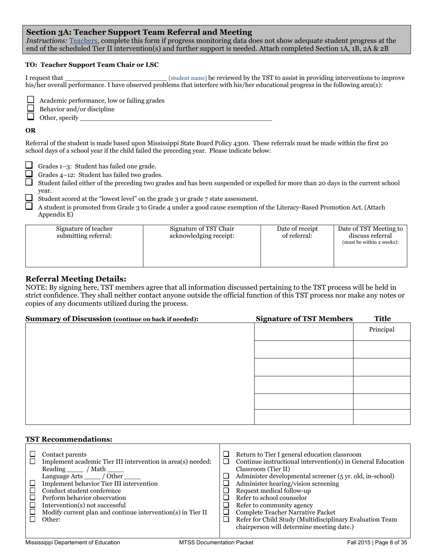## **Section 3A: Teacher Support Team Referral and Meeting**

*Instructions:* Teachers, complete this form if progress monitoring data does not show adequate student progress at the end of the scheduled Tier II intervention(s) and further support is needed. Attach completed Section 1A, 1B, 2A & 2B

#### **TO: Teacher Support Team Chair or LSC**

I request that \_\_\_\_\_\_\_\_\_\_\_\_\_\_\_\_\_\_\_\_\_\_\_\_\_ [student name] be reviewed by the TST to assist in providing interventions to improve his/her overall performance. I have observed problems that interfere with his/her educational progress in the following area(s):

Academic performance, low or failing grades

Behavior and/or discipline

 $\Box$  Other, specify

f ( ) for  $f$  ( ) for  $f$  ( ) for  $f$  ( ) for  $f$  ( ) for  $f$ 

#### **OR**

Referral of the student is made based upon Mississippi State Board Policy 4300. These referrals must be made within the first 20 school days of a school year if the child failed the preceding year. Please indicate below:

Grades 1–3: Student has failed one grade.

Grades 4–12: Student has failed two grades.

Student failed either of the preceding two grades and has been suspended or expelled for more than 20 days in the current school year.

Student scored at the "lowest level" on the grade 3 or grade 7 state assessment.

A student is promoted from Grade 3 to Grade 4 under a good cause exemption of the Literacy-Based Promotion Act. (Attach Appendix E)

| Signature of teacher<br>submitting referral: | Signature of TST Chair<br>acknowledging receipt: | Date of receipt<br>of referral: | Date of TST Meeting to<br>discuss referral<br>(must be within 2 weeks): |
|----------------------------------------------|--------------------------------------------------|---------------------------------|-------------------------------------------------------------------------|
|----------------------------------------------|--------------------------------------------------|---------------------------------|-------------------------------------------------------------------------|

## **Referral Meeting Details:**

NOTE: By signing here, TST members agree that all information discussed pertaining to the TST process will be held in strict confidence. They shall neither contact anyone outside the official function of this TST process nor make any notes or copies of any documents utilized during the process.

| Summary of Discussion (continue on back if needed): | <b>Signature of TST Members</b> | <b>Title</b> |
|-----------------------------------------------------|---------------------------------|--------------|
|                                                     |                                 | Principal    |
|                                                     |                                 |              |
|                                                     |                                 |              |
|                                                     |                                 |              |
|                                                     |                                 |              |
|                                                     |                                 |              |

## **TST Recommendations:**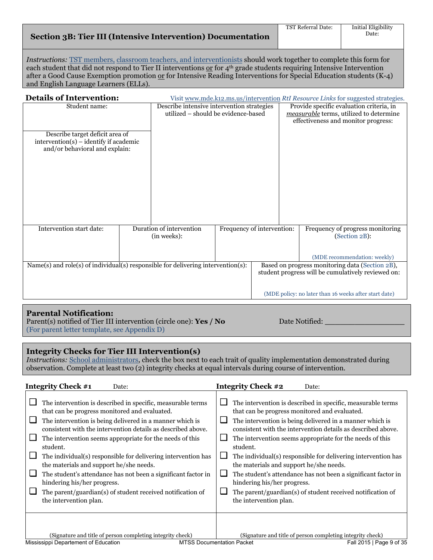|  |  |  | <b>Section 3B: Tier III (Intensive Intervention) Documentation</b> |
|--|--|--|--------------------------------------------------------------------|
|--|--|--|--------------------------------------------------------------------|

*Instructions:* TST members, classroom teachers, and interventionists should work together to complete this form for each student that did not respond to Tier II interventions <u>or</u> for  $4<sup>th</sup>$  grade students requiring Intensive Intervention after a Good Cause Exemption promotion <u>or</u> for Intensive Reading Interventions for Special Education students (K-4) and English Language Learners (ELLs).

| <b>Details of Intervention:</b>                                                                               | Visit www.mde.k12.ms.us/intervention RtI Resource Links for suggested strategies. |  |                            |  |                                                                                                                            |                                                                                                       |  |
|---------------------------------------------------------------------------------------------------------------|-----------------------------------------------------------------------------------|--|----------------------------|--|----------------------------------------------------------------------------------------------------------------------------|-------------------------------------------------------------------------------------------------------|--|
| Student name:                                                                                                 | Describe intensive intervention strategies<br>utilized - should be evidence-based |  |                            |  | Provide specific evaluation criteria, in<br>measurable terms, utilized to determine<br>effectiveness and monitor progress: |                                                                                                       |  |
| Describe target deficit area of<br>$intervention(s) - identity if academic$<br>and/or behavioral and explain: |                                                                                   |  |                            |  |                                                                                                                            |                                                                                                       |  |
| Intervention start date:                                                                                      | Duration of intervention<br>(in weeks):                                           |  | Frequency of intervention: |  |                                                                                                                            | Frequency of progress monitoring<br>(Section 2B):                                                     |  |
|                                                                                                               |                                                                                   |  |                            |  |                                                                                                                            | (MDE recommendation: weekly)                                                                          |  |
| Name(s) and role(s) of individual(s) responsible for delivering intervention(s):                              |                                                                                   |  |                            |  |                                                                                                                            | Based on progress monitoring data (Section 2B),<br>student progress will be cumulatively reviewed on: |  |
|                                                                                                               |                                                                                   |  |                            |  |                                                                                                                            | (MDE policy: no later than 16 weeks after start date)                                                 |  |

## **Parental Notification:**

Parent(s) notified of Tier III intervention (circle one): **Yes / No** Date Notified: (For parent letter template, see Appendix D)

## **Integrity Checks for Tier III Intervention(s)**

*Instructions:* School administrators, check the box next to each trait of quality implementation demonstrated during observation. Complete at least two (2) integrity checks at equal intervals during course of intervention.

| <b>Integrity Check #1</b><br>Date:                                                                                                                                                                                                                                                                                                                                                                                                                                                                                                                                                                                   | <b>Integrity Check #2</b><br>Date:                                                                                                                                                                                                                                                                                                                                                                                                                                                                                                                                                                                                  |
|----------------------------------------------------------------------------------------------------------------------------------------------------------------------------------------------------------------------------------------------------------------------------------------------------------------------------------------------------------------------------------------------------------------------------------------------------------------------------------------------------------------------------------------------------------------------------------------------------------------------|-------------------------------------------------------------------------------------------------------------------------------------------------------------------------------------------------------------------------------------------------------------------------------------------------------------------------------------------------------------------------------------------------------------------------------------------------------------------------------------------------------------------------------------------------------------------------------------------------------------------------------------|
| The intervention is described in specific, measurable terms<br>that can be progress monitored and evaluated.<br>The intervention is being delivered in a manner which is<br>consistent with the intervention details as described above.<br>The intervention seems appropriate for the needs of this<br>student.<br>The individual(s) responsible for delivering intervention has<br>the materials and support he/she needs.<br>The student's attendance has not been a significant factor in<br>hindering his/her progress.<br>The parent/guardian(s) of student received notification of<br>the intervention plan. | The intervention is described in specific, measurable terms<br>ப<br>that can be progress monitored and evaluated.<br>The intervention is being delivered in a manner which is<br>consistent with the intervention details as described above.<br>The intervention seems appropriate for the needs of this<br>student.<br>$\Box$<br>The individual(s) responsible for delivering intervention has<br>the materials and support he/she needs.<br>The student's attendance has not been a significant factor in<br>hindering his/her progress.<br>The parent/guardian(s) of student received notification of<br>the intervention plan. |
| (Signature and title of person completing integrity check)                                                                                                                                                                                                                                                                                                                                                                                                                                                                                                                                                           | (Signature and title of person completing integrity check)                                                                                                                                                                                                                                                                                                                                                                                                                                                                                                                                                                          |
| Mississippi Departement of Education                                                                                                                                                                                                                                                                                                                                                                                                                                                                                                                                                                                 | Fall 2015   Page 9 of 35<br><b>MTSS Documentation Packet</b>                                                                                                                                                                                                                                                                                                                                                                                                                                                                                                                                                                        |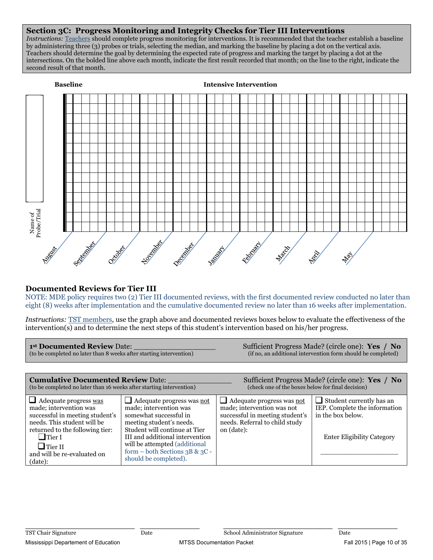## **Section 3C: Progress Monitoring and Integrity Checks for Tier III Interventions**

*Instructions:* Teachers should complete progress monitoring for interventions. It is recommended that the teacher establish a baseline by administering three (3) probes or trials, selecting the median, and marking the baseline by placing a dot on the vertical axis. Teachers should determine the goal by determining the expected rate of progress and marking the target by placing a dot at the intersections. On the bolded line above each month, indicate the first result recorded that month; on the line to the right, indicate the second result of that month.



## **Documented Reviews for Tier III**

NOTE: MDE policy requires two (2) Tier III documented reviews, with the first documented review conducted no later than eight (8) weeks after implementation and the cumulative documented review no later than 16 weeks after implementation.

*Instructions:* TST members, use the graph above and documented reviews boxes below to evaluate the effectiveness of the intervention(s) and to determine the next steps of this student's intervention based on his/her progress.

| 1st Documented Review Date:<br>(to be completed no later than 8 weeks after starting intervention)                                                          |                                                                                                                                                   |                                                                                                                                                          | Sufficient Progress Made? (circle one): Yes / No<br>(if no, an additional intervention form should be completed) |  |  |  |  |
|-------------------------------------------------------------------------------------------------------------------------------------------------------------|---------------------------------------------------------------------------------------------------------------------------------------------------|----------------------------------------------------------------------------------------------------------------------------------------------------------|------------------------------------------------------------------------------------------------------------------|--|--|--|--|
|                                                                                                                                                             |                                                                                                                                                   |                                                                                                                                                          |                                                                                                                  |  |  |  |  |
| <b>Cumulative Documented Review Date:</b><br>(to be completed no later than 16 weeks after starting intervention)                                           |                                                                                                                                                   | Sufficient Progress Made? (circle one): Yes / No<br>(check one of the boxes below for final decision)                                                    |                                                                                                                  |  |  |  |  |
| $\Box$ Adequate progress was<br>made; intervention was<br>successful in meeting student's<br>needs. This student will be<br>returned to the following tier: | $\Box$ Adequate progress was not<br>made; intervention was<br>somewhat successful in<br>meeting student's needs.<br>Student will continue at Tier | $\Box$ Adequate progress was <u>not</u><br>made; intervention was not<br>successful in meeting student's<br>needs. Referral to child study<br>on (date): | $\Box$ Student currently has an<br>IEP. Complete the information<br>in the box below.                            |  |  |  |  |
| $\Box$ Tier I                                                                                                                                               | III and additional intervention                                                                                                                   |                                                                                                                                                          | <b>Enter Eligibility Category</b>                                                                                |  |  |  |  |

| $\overline{\phantom{a}}$<br>Tier I<br>$\Box$ Tier II<br>and will be re-evaluated on<br>(data): | III and additional intervention<br>will be attempted (additional<br>form – both Sections 3B & 3C -<br>should be completed). | <b>Enter Eligibility Category</b> |
|------------------------------------------------------------------------------------------------|-----------------------------------------------------------------------------------------------------------------------------|-----------------------------------|
|                                                                                                |                                                                                                                             |                                   |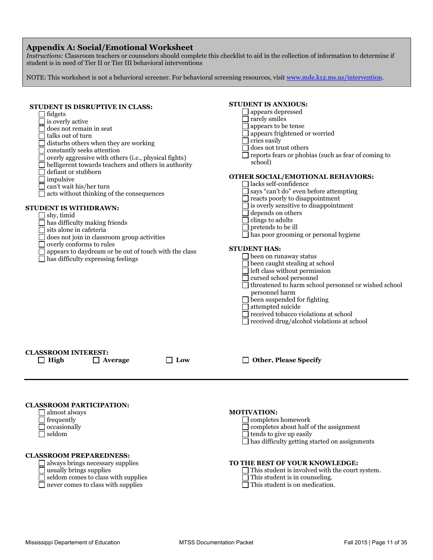## **Appendix A: Social/Emotional Worksheet**

*Instructions:* Classroom teachers or counselors should complete this checklist to aid in the collection of information to determine if student is in need of Tier II or Tier III behavioral interventions

NOTE: This worksheet is not a behavioral screener. For behavioral screening resources, visit www.mde.k12.ms.us/intervention.

| STUDENT IS DISRUPTIVE IN CLASS:<br>∐ fidgets<br>$\Box$ is overly active<br>does not remain in seat<br>talks out of turn<br>disturbs others when they are working<br>constantly seeks attention<br>overly aggressive with others (i.e., physical fights)<br>belligerent towards teachers and others in authority<br>defiant or stubborn<br>impulsive<br>can't wait his/her turn<br>acts without thinking of the consequences<br>STUDENT IS WITHDRAWN:<br>shy, timid<br>] has difficulty making friends<br>sits alone in cafeteria<br>does not join in classroom group activities<br>overly conforms to rules<br>appears to daydream or be out of touch with the class<br>has difficulty expressing feelings | <b>STUDENT IS ANXIOUS:</b><br>appears depressed<br>rarely smiles<br>appears to be tense<br>appears frightened or worried<br>cries easily<br>does not trust others<br>reports fears or phobias (such as fear of coming to<br>school)<br>OTHER SOCIAL/EMOTIONAL BEHAVIORS:<br>lacks self-confidence<br>says "can't do" even before attempting<br>reacts poorly to disappointment<br>is overly sensitive to disappointment<br>depends on others<br>clings to adults<br>$\Box$ pretends to be ill<br>$\Box$ has poor grooming or personal hygiene<br><b>STUDENT HAS:</b><br>$\Box$ been on runaway status<br>been caught stealing at school<br>left class without permission<br>cursed school personnel<br>threatened to harm school personnel or wished school<br>personnel harm<br>$\Box$ been suspended for fighting<br>attempted suicide<br>received tobacco violations at school<br>$\Box$ received drug/alcohol violations at school |
|------------------------------------------------------------------------------------------------------------------------------------------------------------------------------------------------------------------------------------------------------------------------------------------------------------------------------------------------------------------------------------------------------------------------------------------------------------------------------------------------------------------------------------------------------------------------------------------------------------------------------------------------------------------------------------------------------------|----------------------------------------------------------------------------------------------------------------------------------------------------------------------------------------------------------------------------------------------------------------------------------------------------------------------------------------------------------------------------------------------------------------------------------------------------------------------------------------------------------------------------------------------------------------------------------------------------------------------------------------------------------------------------------------------------------------------------------------------------------------------------------------------------------------------------------------------------------------------------------------------------------------------------------------|
| <b>CLASSROOM INTEREST:</b><br>$\Box$ High<br>$\Box$ Low<br>$\Box$ Average                                                                                                                                                                                                                                                                                                                                                                                                                                                                                                                                                                                                                                  | $\Box$ Other, Please Specify                                                                                                                                                                                                                                                                                                                                                                                                                                                                                                                                                                                                                                                                                                                                                                                                                                                                                                           |
| <b>CLASSROOM PARTICIPATION:</b><br><b>_ </b> almost always<br>frequently<br>occasionally<br>seldom<br><b>CLASSROOM PREPAREDNESS:</b><br>always brings necessary supplies<br>usually brings supplies<br>seldom comes to class with supplies<br>never comes to class with supplies                                                                                                                                                                                                                                                                                                                                                                                                                           | <b>MOTIVATION:</b><br>completes homework<br>completes about half of the assignment<br>$\Box$ tends to give up easily<br>has difficulty getting started on assignments<br>TO THE BEST OF YOUR KNOWLEDGE:<br>This student is involved with the court system.<br>This student is in counseling.<br>This student is on medication.                                                                                                                                                                                                                                                                                                                                                                                                                                                                                                                                                                                                         |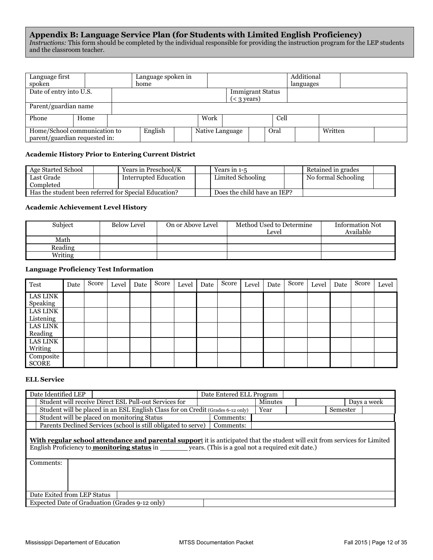#### **Appendix B: Language Service Plan (for Students with Limited English Proficiency)**  *Instructions:* This form should be completed by the individual responsible for providing the instruction program for the LEP students and the classroom teacher.

| Language first<br>spoken                                      |      |  | Language spoken in<br>home |                 |                     |                         |      | Additional<br>languages |         |  |
|---------------------------------------------------------------|------|--|----------------------------|-----------------|---------------------|-------------------------|------|-------------------------|---------|--|
| Date of entry into U.S.                                       |      |  |                            |                 | $(3 \text{ years})$ | <b>Immigrant Status</b> |      |                         |         |  |
| Parent/guardian name                                          |      |  |                            |                 |                     |                         |      |                         |         |  |
| Phone                                                         | Home |  |                            | Work            |                     |                         | Cell |                         |         |  |
| Home/School communication to<br>parent/guardian requested in: |      |  | English                    | Native Language |                     |                         | Oral |                         | Written |  |

#### **Academic History Prior to Entering Current District**

| Age Started School                                   | Years in Preschool/K  | Years in 1-5                | Retained in grades  |  |
|------------------------------------------------------|-----------------------|-----------------------------|---------------------|--|
| Last Grade                                           | Interrupted Education | Limited Schooling           | No formal Schooling |  |
| Completed                                            |                       |                             |                     |  |
| Has the student been referred for Special Education? |                       | Does the child have an IEP? |                     |  |

#### **Academic Achievement Level History**

| Subject | <b>Below Level</b> | On or Above Level | Method Used to Determine<br>Level | <b>Information Not</b><br>Available |
|---------|--------------------|-------------------|-----------------------------------|-------------------------------------|
| Math    |                    |                   |                                   |                                     |
| Reading |                    |                   |                                   |                                     |
| Writing |                    |                   |                                   |                                     |

## **Language Proficiency Test Information**

| Test                        | Date | Score | Level | Date | Score | Level | Date | Score | Level | Date | Score | Level | Date | Score | Level |
|-----------------------------|------|-------|-------|------|-------|-------|------|-------|-------|------|-------|-------|------|-------|-------|
| <b>LAS LINK</b><br>Speaking |      |       |       |      |       |       |      |       |       |      |       |       |      |       |       |
| LAS LINK<br>Listening       |      |       |       |      |       |       |      |       |       |      |       |       |      |       |       |
| LAS LINK<br>Reading         |      |       |       |      |       |       |      |       |       |      |       |       |      |       |       |
| LAS LINK<br>Writing         |      |       |       |      |       |       |      |       |       |      |       |       |      |       |       |
| Composite<br><b>SCORE</b>   |      |       |       |      |       |       |      |       |       |      |       |       |      |       |       |

#### **ELL Service**

| Date Identified LEP                                                             | Date Entered ELL Program |                |          |             |
|---------------------------------------------------------------------------------|--------------------------|----------------|----------|-------------|
| Student will receive Direct ESL Pull-out Services for                           |                          | <b>Minutes</b> |          | Davs a week |
| Student will be placed in an ESL English Class for on Credit (Grades 6-12 only) |                          | Year           | Semester |             |
| Student will be placed on monitoring Status                                     | Comments:                |                |          |             |
| Parents Declined Services (school is still obligated to serve)                  | Comments:                |                |          |             |

**With regular school attendance and parental suppor**t it is anticipated that the student will exit from services for Limited English Proficiency to <u>monitoring status</u> in \_\_\_\_\_\_\_\_ years. (This is a goal not a required exit date.)

| Comments:                                      |  |  |  |  |  |  |
|------------------------------------------------|--|--|--|--|--|--|
|                                                |  |  |  |  |  |  |
| Date Exited from LEP Status                    |  |  |  |  |  |  |
| Expected Date of Graduation (Grades 9-12 only) |  |  |  |  |  |  |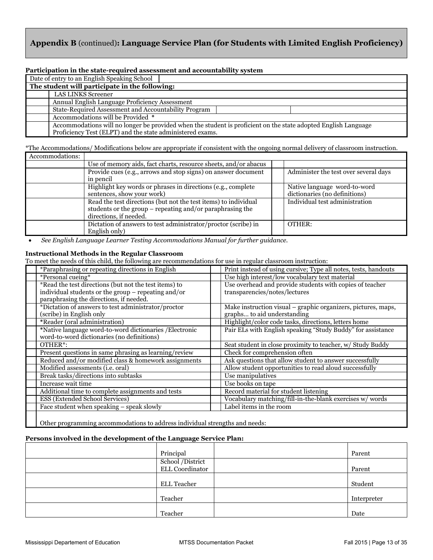# **Appendix B** (continued)**: Language Service Plan (for Students with Limited English Proficiency)**

#### **Participation in the state-required assessment and accountability system**

| Date of entry to an English Speaking School               |                                                                                                                |  |  |  |  |  |  |
|-----------------------------------------------------------|----------------------------------------------------------------------------------------------------------------|--|--|--|--|--|--|
| The student will participate in the following:            |                                                                                                                |  |  |  |  |  |  |
| <b>LAS LINKS Screener</b>                                 |                                                                                                                |  |  |  |  |  |  |
| Annual English Language Proficiency Assessment            |                                                                                                                |  |  |  |  |  |  |
| State-Required Assessment and Accountability Program      |                                                                                                                |  |  |  |  |  |  |
| Accommodations will be Provided *                         |                                                                                                                |  |  |  |  |  |  |
|                                                           | Accommodations will no longer be provided when the student is proficient on the state adopted English Language |  |  |  |  |  |  |
| Proficiency Test (ELPT) and the state administered exams. |                                                                                                                |  |  |  |  |  |  |

\*The Accommodations/ Modifications below are appropriate if consistent with the ongoing normal delivery of classroom instruction.

| Accommodations: |                                                                 |                                       |
|-----------------|-----------------------------------------------------------------|---------------------------------------|
|                 | Use of memory aids, fact charts, resource sheets, and/or abacus |                                       |
|                 | Provide cues (e.g., arrows and stop signs) on answer document   | Administer the test over several days |
|                 | in pencil                                                       |                                       |
|                 | Highlight key words or phrases in directions (e.g., complete    | Native language word-to-word          |
|                 | sentences, show your work)                                      | dictionaries (no definitions)         |
|                 | Read the test directions (but not the test items) to individual | Individual test administration        |
|                 | students or the group – repeating and/or paraphrasing the       |                                       |
|                 | directions, if needed.                                          |                                       |
|                 | Dictation of answers to test administrator/proctor (scribe) in  | OTHER:                                |
|                 | English only)                                                   |                                       |

**•** See English Language Learner Testing Accommodations Manual for further guidance.

#### **Instructional Methods in the Regular Classroom**

To meet the needs of this child, the following are recommendations for use in regular classroom instruction:

| *Paraphrasing or repeating directions in English       | Print instead of using cursive; Type all notes, tests, handouts |
|--------------------------------------------------------|-----------------------------------------------------------------|
| *Personal cueing*                                      | Use high interest/low vocabulary text material                  |
| *Read the test directions (but not the test items) to  | Use overhead and provide students with copies of teacher        |
| individual students or the group $-$ repeating and/or  | transparencies/notes/lectures                                   |
| paraphrasing the directions, if needed.                |                                                                 |
| *Dictation of answers to test administrator/proctor    | Make instruction visual – graphic organizers, pictures, maps,   |
| (scribe) in English only                               | graphs to aid understanding                                     |
| *Reader (oral administration)                          | Highlight/color code tasks, directions, letters home            |
| *Native language word-to-word dictionaries /Electronic | Pair ELs with English speaking "Study Buddy" for assistance     |
| word-to-word dictionaries (no definitions)             |                                                                 |
| OTHER <sup>*</sup> :                                   | Seat student in close proximity to teacher, w/ Study Buddy      |
| Present questions in same phrasing as learning/review  | Check for comprehension often                                   |
| Reduced and/or modified class & homework assignments   | Ask questions that allow student to answer successfully         |
| Modified assessments (i.e. oral)                       | Allow student opportunities to read aloud successfully          |
| Break tasks/directions into subtasks                   | Use manipulatives                                               |
| Increase wait time                                     | Use books on tape                                               |
| Additional time to complete assignments and tests      | Record material for student listening                           |
| ESS (Extended School Services)                         | Vocabulary matching/fill-in-the-blank exercises w/words         |
| Face student when speaking - speak slowly              | Label items in the room                                         |
|                                                        |                                                                 |

Other programming accommodations to address individual strengths and needs:

#### **Persons involved in the development of the Language Service Plan:**

| Principal                           | Parent      |
|-------------------------------------|-------------|
| School /District<br>ELL Coordinator | Parent      |
| ELL Teacher                         | Student     |
| Teacher                             | Interpreter |
| Teacher                             | Date        |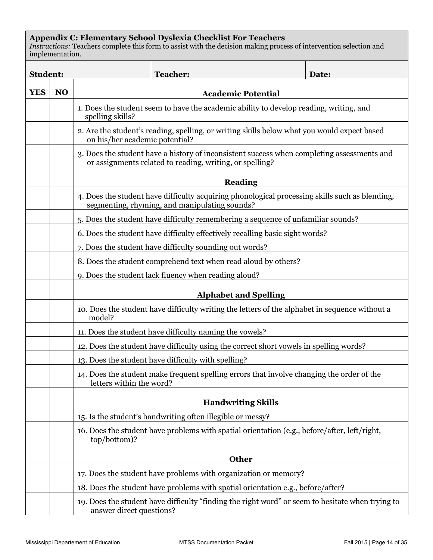# **Appendix C: Elementary School Dyslexia Checklist For Teachers**

*Instructions:* Teachers complete this form to assist with the decision making process of intervention selection and implementation.

| <b>Student:</b> |                |                                                                                                            | <b>Teacher:</b>                                                                                                                                        | Date: |  |  |  |
|-----------------|----------------|------------------------------------------------------------------------------------------------------------|--------------------------------------------------------------------------------------------------------------------------------------------------------|-------|--|--|--|
| <b>YES</b>      | N <sub>O</sub> |                                                                                                            | <b>Academic Potential</b>                                                                                                                              |       |  |  |  |
|                 |                | 1. Does the student seem to have the academic ability to develop reading, writing, and<br>spelling skills? |                                                                                                                                                        |       |  |  |  |
|                 |                | on his/her academic potential?                                                                             | 2. Are the student's reading, spelling, or writing skills below what you would expect based                                                            |       |  |  |  |
|                 |                |                                                                                                            | 3. Does the student have a history of inconsistent success when completing assessments and<br>or assignments related to reading, writing, or spelling? |       |  |  |  |
|                 |                |                                                                                                            | <b>Reading</b>                                                                                                                                         |       |  |  |  |
|                 |                |                                                                                                            | 4. Does the student have difficulty acquiring phonological processing skills such as blending,<br>segmenting, rhyming, and manipulating sounds?        |       |  |  |  |
|                 |                |                                                                                                            | 5. Does the student have difficulty remembering a sequence of unfamiliar sounds?                                                                       |       |  |  |  |
|                 |                |                                                                                                            | 6. Does the student have difficulty effectively recalling basic sight words?                                                                           |       |  |  |  |
|                 |                |                                                                                                            | 7. Does the student have difficulty sounding out words?                                                                                                |       |  |  |  |
|                 |                |                                                                                                            | 8. Does the student comprehend text when read aloud by others?                                                                                         |       |  |  |  |
|                 |                |                                                                                                            | 9. Does the student lack fluency when reading aloud?                                                                                                   |       |  |  |  |
|                 |                |                                                                                                            | <b>Alphabet and Spelling</b>                                                                                                                           |       |  |  |  |
|                 |                | 10. Does the student have difficulty writing the letters of the alphabet in sequence without a<br>model?   |                                                                                                                                                        |       |  |  |  |
|                 |                |                                                                                                            | 11. Does the student have difficulty naming the vowels?                                                                                                |       |  |  |  |
|                 |                |                                                                                                            | 12. Does the student have difficulty using the correct short vowels in spelling words?                                                                 |       |  |  |  |
|                 |                |                                                                                                            | 13. Does the student have difficulty with spelling?                                                                                                    |       |  |  |  |
|                 |                | letters within the word?                                                                                   | 14. Does the student make frequent spelling errors that involve changing the order of the                                                              |       |  |  |  |
|                 |                |                                                                                                            | <b>Handwriting Skills</b>                                                                                                                              |       |  |  |  |
|                 |                |                                                                                                            | 15. Is the student's handwriting often illegible or messy?                                                                                             |       |  |  |  |
|                 |                | top/bottom)?                                                                                               | 16. Does the student have problems with spatial orientation (e.g., before/after, left/right,                                                           |       |  |  |  |
|                 |                |                                                                                                            | <b>Other</b>                                                                                                                                           |       |  |  |  |
|                 |                |                                                                                                            | 17. Does the student have problems with organization or memory?                                                                                        |       |  |  |  |
|                 |                |                                                                                                            | 18. Does the student have problems with spatial orientation e.g., before/after?                                                                        |       |  |  |  |
|                 |                | answer direct questions?                                                                                   | 19. Does the student have difficulty "finding the right word" or seem to hesitate when trying to                                                       |       |  |  |  |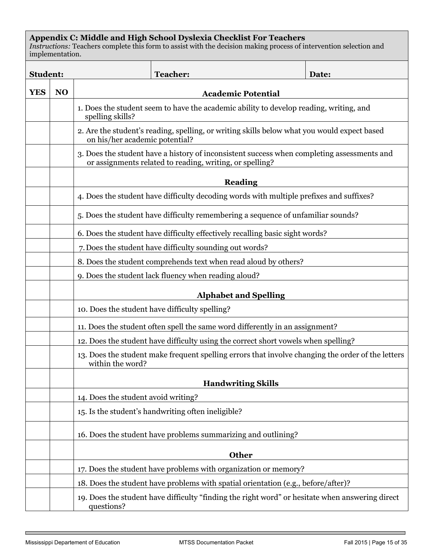## **Appendix C: Middle and High School Dyslexia Checklist For Teachers**

*Instructions:* Teachers complete this form to assist with the decision making process of intervention selection and implementation.

| <b>Student:</b> |                |                                                                                                            | <b>Teacher:</b>                                                                                                                                        | Date: |  |  |
|-----------------|----------------|------------------------------------------------------------------------------------------------------------|--------------------------------------------------------------------------------------------------------------------------------------------------------|-------|--|--|
| <b>YES</b>      | N <sub>O</sub> |                                                                                                            | <b>Academic Potential</b>                                                                                                                              |       |  |  |
|                 |                | 1. Does the student seem to have the academic ability to develop reading, writing, and<br>spelling skills? |                                                                                                                                                        |       |  |  |
|                 |                | on his/her academic potential?                                                                             | 2. Are the student's reading, spelling, or writing skills below what you would expect based                                                            |       |  |  |
|                 |                |                                                                                                            | 3. Does the student have a history of inconsistent success when completing assessments and<br>or assignments related to reading, writing, or spelling? |       |  |  |
|                 |                |                                                                                                            | <b>Reading</b>                                                                                                                                         |       |  |  |
|                 |                |                                                                                                            | 4. Does the student have difficulty decoding words with multiple prefixes and suffixes?                                                                |       |  |  |
|                 |                |                                                                                                            | 5. Does the student have difficulty remembering a sequence of unfamiliar sounds?                                                                       |       |  |  |
|                 |                |                                                                                                            | 6. Does the student have difficulty effectively recalling basic sight words?                                                                           |       |  |  |
|                 |                |                                                                                                            | 7. Does the student have difficulty sounding out words?                                                                                                |       |  |  |
|                 |                |                                                                                                            | 8. Does the student comprehends text when read aloud by others?                                                                                        |       |  |  |
|                 |                |                                                                                                            | 9. Does the student lack fluency when reading aloud?                                                                                                   |       |  |  |
|                 |                | <b>Alphabet and Spelling</b>                                                                               |                                                                                                                                                        |       |  |  |
|                 |                |                                                                                                            | 10. Does the student have difficulty spelling?                                                                                                         |       |  |  |
|                 |                |                                                                                                            | 11. Does the student often spell the same word differently in an assignment?                                                                           |       |  |  |
|                 |                |                                                                                                            | 12. Does the student have difficulty using the correct short vowels when spelling?                                                                     |       |  |  |
|                 |                | within the word?                                                                                           | 13. Does the student make frequent spelling errors that involve changing the order of the letters                                                      |       |  |  |
|                 |                |                                                                                                            | <b>Handwriting Skills</b>                                                                                                                              |       |  |  |
|                 |                | 14. Does the student avoid writing?                                                                        |                                                                                                                                                        |       |  |  |
|                 |                |                                                                                                            | 15. Is the student's handwriting often ineligible?                                                                                                     |       |  |  |
|                 |                |                                                                                                            | 16. Does the student have problems summarizing and outlining?                                                                                          |       |  |  |
|                 |                |                                                                                                            | <b>Other</b>                                                                                                                                           |       |  |  |
|                 |                |                                                                                                            | 17. Does the student have problems with organization or memory?                                                                                        |       |  |  |
|                 |                |                                                                                                            | 18. Does the student have problems with spatial orientation (e.g., before/after)?                                                                      |       |  |  |
|                 |                | questions?                                                                                                 | 19. Does the student have difficulty "finding the right word" or hesitate when answering direct                                                        |       |  |  |

п

٦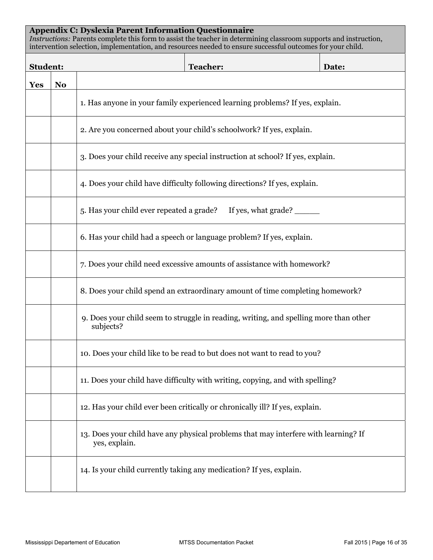# **Appendix C: Dyslexia Parent Information Questionnaire**

*Instructions:* Parents complete this form to assist the teacher in determining classroom supports and instruction, intervention selection, implementation, and resources needed to ensure successful outcomes for your child.

| <b>Student:</b> |                |                                                                                                    | <b>Teacher:</b>                                                                     | Date: |  |  |  |
|-----------------|----------------|----------------------------------------------------------------------------------------------------|-------------------------------------------------------------------------------------|-------|--|--|--|
| <b>Yes</b>      | N <sub>0</sub> |                                                                                                    |                                                                                     |       |  |  |  |
|                 |                | 1. Has anyone in your family experienced learning problems? If yes, explain.                       |                                                                                     |       |  |  |  |
|                 |                |                                                                                                    | 2. Are you concerned about your child's schoolwork? If yes, explain.                |       |  |  |  |
|                 |                |                                                                                                    | 3. Does your child receive any special instruction at school? If yes, explain.      |       |  |  |  |
|                 |                |                                                                                                    | 4. Does your child have difficulty following directions? If yes, explain.           |       |  |  |  |
|                 |                | 5. Has your child ever repeated a grade?                                                           | If yes, what grade?                                                                 |       |  |  |  |
|                 |                |                                                                                                    | 6. Has your child had a speech or language problem? If yes, explain.                |       |  |  |  |
|                 |                | 7. Does your child need excessive amounts of assistance with homework?                             |                                                                                     |       |  |  |  |
|                 |                | 8. Does your child spend an extraordinary amount of time completing homework?                      |                                                                                     |       |  |  |  |
|                 |                | 9. Does your child seem to struggle in reading, writing, and spelling more than other<br>subjects? |                                                                                     |       |  |  |  |
|                 |                |                                                                                                    | 10. Does your child like to be read to but does not want to read to you?            |       |  |  |  |
|                 |                |                                                                                                    | 11. Does your child have difficulty with writing, copying, and with spelling?       |       |  |  |  |
|                 |                |                                                                                                    | 12. Has your child ever been critically or chronically ill? If yes, explain.        |       |  |  |  |
|                 |                | yes, explain.                                                                                      | 13. Does your child have any physical problems that may interfere with learning? If |       |  |  |  |
|                 |                |                                                                                                    | 14. Is your child currently taking any medication? If yes, explain.                 |       |  |  |  |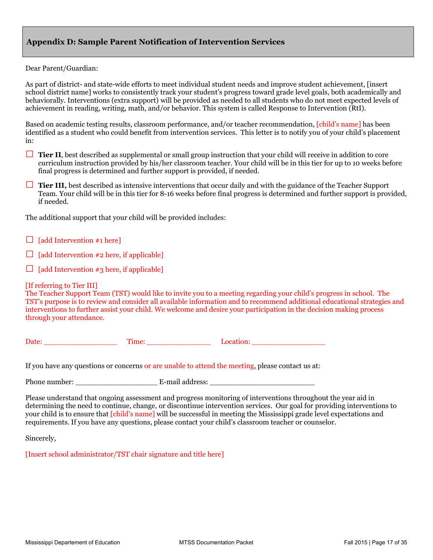## **Appendix D: Sample Parent Notification of Intervention Services**

#### Dear Parent/Guardian:

As part of district- and state-wide efforts to meet individual student needs and improve student achievement, [insert school district name] works to consistently track your student's progress toward grade level goals, both academically and behaviorally. Interventions (extra support) will be provided as needed to all students who do not meet expected levels of achievement in reading, writing, math, and/or behavior. This system is called Response to Intervention (RtI).

Based on academic testing results, classroom performance, and/or teacher recommendation, [child's name] has been identified as a student who could benefit from intervention services. This letter is to notify you of your child's placement in:

- □ **Tier II**, best described as supplemental or small group instruction that your child will receive in addition to core curriculum instruction provided by his/her classroom teacher. Your child will be in this tier for up to 10 weeks before final progress is determined and further support is provided, if needed.
- □ **Tier III,** best described as intensive interventions that occur daily and with the guidance of the Teacher Support Team. Your child will be in this tier for 8-16 weeks before final progress is determined and further support is provided, if needed.

The additional support that your child will be provided includes:

- $\Box$  [add Intervention #1 here]
- $\Box$  [add Intervention #2 here, if applicable]
- $\Box$  [add Intervention #3 here, if applicable]

#### [If referring to Tier III]

The Teacher Support Team (TST) would like to invite you to a meeting regarding your child's progress in school. The TST's purpose is to review and consider all available information and to recommend additional educational strategies and interventions to further assist your child. We welcome and desire your participation in the decision making process through your attendance.

Date: Time: Execution:  $\Box$ 

If you have any questions or concerns or are unable to attend the meeting, please contact us at:

Phone number: \_\_\_\_\_\_\_\_\_\_\_\_\_\_\_\_\_\_ E-mail address: \_\_\_\_\_\_\_\_\_\_\_\_\_\_\_\_\_\_\_\_\_\_\_

Please understand that ongoing assessment and progress monitoring of interventions throughout the year aid in determining the need to continue, change, or discontinue intervention services. Our goal for providing interventions to your child is to ensure that [child's name] will be successful in meeting the Mississippi grade level expectations and requirements. If you have any questions, please contact your child's classroom teacher or counselor.

Sincerely,

[Insert school administrator/TST chair signature and title here]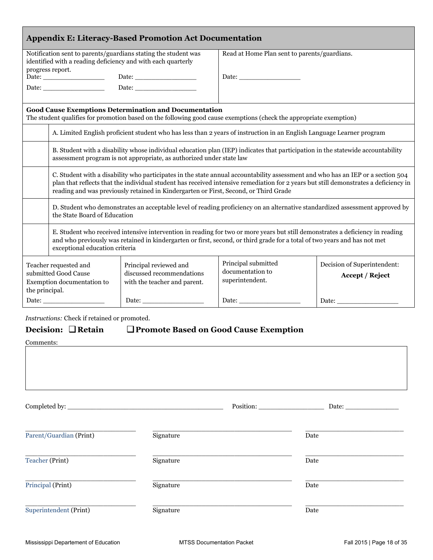| <b>Appendix E: Literacy-Based Promotion Act Documentation</b>                                                                                      |                                                                                                                                                                                                                                                                                                                                                                 |                                                                                     |                                                                                                                              |                                                       |  |
|----------------------------------------------------------------------------------------------------------------------------------------------------|-----------------------------------------------------------------------------------------------------------------------------------------------------------------------------------------------------------------------------------------------------------------------------------------------------------------------------------------------------------------|-------------------------------------------------------------------------------------|------------------------------------------------------------------------------------------------------------------------------|-------------------------------------------------------|--|
| Notification sent to parents/guardians stating the student was<br>identified with a reading deficiency and with each quarterly<br>progress report. |                                                                                                                                                                                                                                                                                                                                                                 |                                                                                     | Read at Home Plan sent to parents/guardians.                                                                                 |                                                       |  |
|                                                                                                                                                    |                                                                                                                                                                                                                                                                                                                                                                 |                                                                                     | Date:                                                                                                                        |                                                       |  |
|                                                                                                                                                    |                                                                                                                                                                                                                                                                                                                                                                 |                                                                                     |                                                                                                                              |                                                       |  |
|                                                                                                                                                    |                                                                                                                                                                                                                                                                                                                                                                 | <b>Good Cause Exemptions Determination and Documentation</b>                        | The student qualifies for promotion based on the following good cause exemptions (check the appropriate exemption)           |                                                       |  |
|                                                                                                                                                    |                                                                                                                                                                                                                                                                                                                                                                 |                                                                                     | A. Limited English proficient student who has less than 2 years of instruction in an English Language Learner program        |                                                       |  |
|                                                                                                                                                    | B. Student with a disability whose individual education plan (IEP) indicates that participation in the statewide accountability<br>assessment program is not appropriate, as authorized under state law                                                                                                                                                         |                                                                                     |                                                                                                                              |                                                       |  |
|                                                                                                                                                    | C. Student with a disability who participates in the state annual accountability assessment and who has an IEP or a section 504<br>plan that reflects that the individual student has received intensive remediation for 2 years but still demonstrates a deficiency in<br>reading and was previously retained in Kindergarten or First, Second, or Third Grade |                                                                                     |                                                                                                                              |                                                       |  |
|                                                                                                                                                    | the State Board of Education                                                                                                                                                                                                                                                                                                                                    |                                                                                     | D. Student who demonstrates an acceptable level of reading proficiency on an alternative standardized assessment approved by |                                                       |  |
|                                                                                                                                                    | E. Student who received intensive intervention in reading for two or more years but still demonstrates a deficiency in reading<br>and who previously was retained in kindergarten or first, second, or third grade for a total of two years and has not met<br>exceptional education criteria                                                                   |                                                                                     |                                                                                                                              |                                                       |  |
| Teacher requested and<br>submitted Good Cause<br>Exemption documentation to<br>the principal.                                                      |                                                                                                                                                                                                                                                                                                                                                                 | Principal reviewed and<br>discussed recommendations<br>with the teacher and parent. | Principal submitted<br>documentation to<br>superintendent.                                                                   | Decision of Superintendent:<br><b>Accept / Reject</b> |  |
| Date:                                                                                                                                              |                                                                                                                                                                                                                                                                                                                                                                 | Date:                                                                               |                                                                                                                              |                                                       |  |

*Instructions:* Check if retained or promoted.

# **Decision: I Retain I Promote Based on Good Cause Exemption**

Comments:

|                         |           | Position: | Date: |  |
|-------------------------|-----------|-----------|-------|--|
| Parent/Guardian (Print) | Signature |           | Date  |  |
| Teacher (Print)         | Signature |           | Date  |  |
| Principal (Print)       | Signature |           | Date  |  |
| Superintendent (Print)  | Signature |           | Date  |  |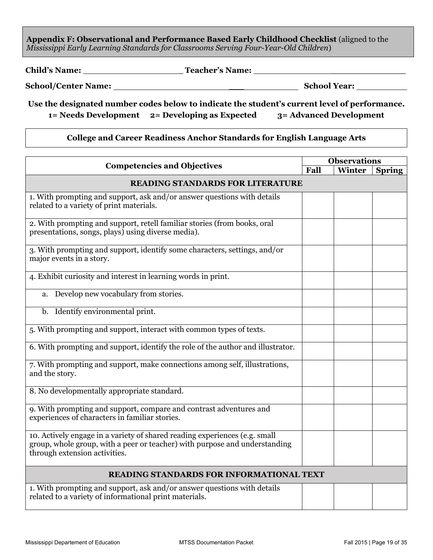**Appendix F: Observational and Performance Based Early Childhood Checklist** (aligned to the *Mississippi Early Learning Standards for Classrooms Serving Four-Year-Old Children*)

**Child's Name:** \_ **Teacher's Name:** \_\_\_\_\_\_\_\_\_\_\_\_\_\_\_

**School/Center Name:** \_\_\_ **School Year:**

**Use the designated number codes below to indicate the student's current level of performance. 1= Needs Development 2= Developing as Expected 3= Advanced Development** 

## **College and Career Readiness Anchor Standards for English Language Arts**

| <b>Competencies and Objectives</b>                                                                                                                                                        |      | <b>Observations</b> |               |  |  |
|-------------------------------------------------------------------------------------------------------------------------------------------------------------------------------------------|------|---------------------|---------------|--|--|
|                                                                                                                                                                                           | Fall | Winter              | <b>Spring</b> |  |  |
| <b>READING STANDARDS FOR LITERATURE</b>                                                                                                                                                   |      |                     |               |  |  |
| 1. With prompting and support, ask and/or answer questions with details<br>related to a variety of print materials.                                                                       |      |                     |               |  |  |
| 2. With prompting and support, retell familiar stories (from books, oral<br>presentations, songs, plays) using diverse media).                                                            |      |                     |               |  |  |
| 3. With prompting and support, identify some characters, settings, and/or<br>major events in a story.                                                                                     |      |                     |               |  |  |
| 4. Exhibit curiosity and interest in learning words in print.                                                                                                                             |      |                     |               |  |  |
| a. Develop new vocabulary from stories.                                                                                                                                                   |      |                     |               |  |  |
| b. Identify environmental print.                                                                                                                                                          |      |                     |               |  |  |
| 5. With prompting and support, interact with common types of texts.                                                                                                                       |      |                     |               |  |  |
| 6. With prompting and support, identify the role of the author and illustrator.                                                                                                           |      |                     |               |  |  |
| 7. With prompting and support, make connections among self, illustrations,<br>and the story.                                                                                              |      |                     |               |  |  |
| 8. No developmentally appropriate standard.                                                                                                                                               |      |                     |               |  |  |
| 9. With prompting and support, compare and contrast adventures and<br>experiences of characters in familiar stories.                                                                      |      |                     |               |  |  |
| 10. Actively engage in a variety of shared reading experiences (e.g. small<br>group, whole group, with a peer or teacher) with purpose and understanding<br>through extension activities. |      |                     |               |  |  |
| <b>READING STANDARDS FOR INFORMATIONAL TEXT</b>                                                                                                                                           |      |                     |               |  |  |
| 1. With prompting and support, ask and/or answer questions with details<br>related to a variety of informational print materials.                                                         |      |                     |               |  |  |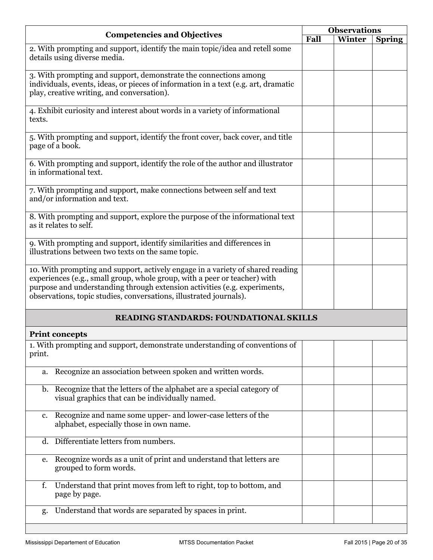| <b>Competencies and Objectives</b>                                                                                                                                                                                                                                                                             | <b>Observations</b> |        |               |
|----------------------------------------------------------------------------------------------------------------------------------------------------------------------------------------------------------------------------------------------------------------------------------------------------------------|---------------------|--------|---------------|
|                                                                                                                                                                                                                                                                                                                | Fall                | Winter | <b>Spring</b> |
| 2. With prompting and support, identify the main topic/idea and retell some<br>details using diverse media.                                                                                                                                                                                                    |                     |        |               |
| 3. With prompting and support, demonstrate the connections among<br>individuals, events, ideas, or pieces of information in a text (e.g. art, dramatic<br>play, creative writing, and conversation).                                                                                                           |                     |        |               |
| 4. Exhibit curiosity and interest about words in a variety of informational<br>texts.                                                                                                                                                                                                                          |                     |        |               |
| 5. With prompting and support, identify the front cover, back cover, and title<br>page of a book.                                                                                                                                                                                                              |                     |        |               |
| 6. With prompting and support, identify the role of the author and illustrator<br>in informational text.                                                                                                                                                                                                       |                     |        |               |
| 7. With prompting and support, make connections between self and text<br>and/or information and text.                                                                                                                                                                                                          |                     |        |               |
| 8. With prompting and support, explore the purpose of the informational text<br>as it relates to self.                                                                                                                                                                                                         |                     |        |               |
| 9. With prompting and support, identify similarities and differences in<br>illustrations between two texts on the same topic.                                                                                                                                                                                  |                     |        |               |
| 10. With prompting and support, actively engage in a variety of shared reading<br>experiences (e.g., small group, whole group, with a peer or teacher) with<br>purpose and understanding through extension activities (e.g. experiments,<br>observations, topic studies, conversations, illustrated journals). |                     |        |               |
| <b>READING STANDARDS: FOUNDATIONAL SKILLS</b>                                                                                                                                                                                                                                                                  |                     |        |               |
| <b>Print concepts</b>                                                                                                                                                                                                                                                                                          |                     |        |               |
| 1. With prompting and support, demonstrate understanding of conventions of<br>print.                                                                                                                                                                                                                           |                     |        |               |
| Recognize an association between spoken and written words.<br>a.                                                                                                                                                                                                                                               |                     |        |               |
| Recognize that the letters of the alphabet are a special category of<br>b.<br>visual graphics that can be individually named.                                                                                                                                                                                  |                     |        |               |
| Recognize and name some upper- and lower-case letters of the<br>c.<br>alphabet, especially those in own name.                                                                                                                                                                                                  |                     |        |               |
| Differentiate letters from numbers.<br>d.                                                                                                                                                                                                                                                                      |                     |        |               |
| Recognize words as a unit of print and understand that letters are<br>e.<br>grouped to form words.                                                                                                                                                                                                             |                     |        |               |
| Understand that print moves from left to right, top to bottom, and<br>f.<br>page by page.                                                                                                                                                                                                                      |                     |        |               |
| Understand that words are separated by spaces in print.<br>g.                                                                                                                                                                                                                                                  |                     |        |               |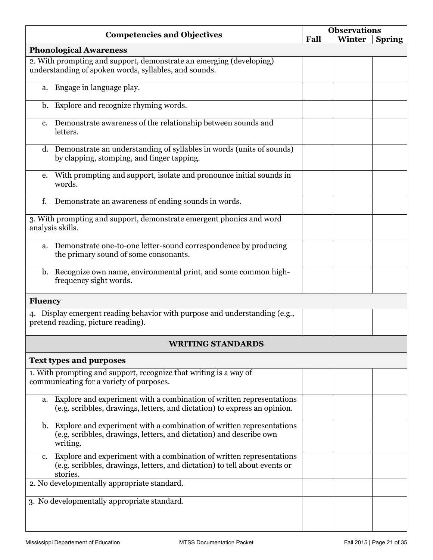|                | <b>Competencies and Objectives</b>                                                                                                                             | <b>Observations</b> |        |               |
|----------------|----------------------------------------------------------------------------------------------------------------------------------------------------------------|---------------------|--------|---------------|
|                |                                                                                                                                                                | Fall                | Winter | <b>Spring</b> |
|                | <b>Phonological Awareness</b>                                                                                                                                  |                     |        |               |
|                | 2. With prompting and support, demonstrate an emerging (developing)<br>understanding of spoken words, syllables, and sounds.                                   |                     |        |               |
| a.             | Engage in language play.                                                                                                                                       |                     |        |               |
| $\mathbf{b}$ . | Explore and recognize rhyming words.                                                                                                                           |                     |        |               |
| c.             | Demonstrate awareness of the relationship between sounds and<br>letters.                                                                                       |                     |        |               |
|                | d. Demonstrate an understanding of syllables in words (units of sounds)<br>by clapping, stomping, and finger tapping.                                          |                     |        |               |
| e.             | With prompting and support, isolate and pronounce initial sounds in<br>words.                                                                                  |                     |        |               |
| f.             | Demonstrate an awareness of ending sounds in words.                                                                                                            |                     |        |               |
|                | 3. With prompting and support, demonstrate emergent phonics and word<br>analysis skills.                                                                       |                     |        |               |
|                | a. Demonstrate one-to-one letter-sound correspondence by producing<br>the primary sound of some consonants.                                                    |                     |        |               |
|                | b. Recognize own name, environmental print, and some common high-<br>frequency sight words.                                                                    |                     |        |               |
| <b>Fluency</b> |                                                                                                                                                                |                     |        |               |
|                | 4. Display emergent reading behavior with purpose and understanding (e.g.,<br>pretend reading, picture reading).                                               |                     |        |               |
|                | WRITING STANDARDS                                                                                                                                              |                     |        |               |
|                | <b>Text types and purposes</b>                                                                                                                                 |                     |        |               |
|                | 1. With prompting and support, recognize that writing is a way of<br>communicating for a variety of purposes.                                                  |                     |        |               |
| a.             | Explore and experiment with a combination of written representations<br>(e.g. scribbles, drawings, letters, and dictation) to express an opinion.              |                     |        |               |
| b.             | Explore and experiment with a combination of written representations<br>(e.g. scribbles, drawings, letters, and dictation) and describe own<br>writing.        |                     |        |               |
| c.             | Explore and experiment with a combination of written representations<br>(e.g. scribbles, drawings, letters, and dictation) to tell about events or<br>stories. |                     |        |               |
|                | 2. No developmentally appropriate standard.                                                                                                                    |                     |        |               |
|                | 3. No developmentally appropriate standard.                                                                                                                    |                     |        |               |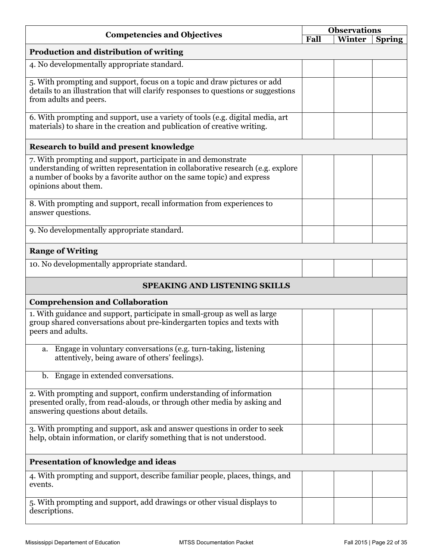| <b>Competencies and Objectives</b>                                                                                                                                                                                                                |      | <b>Observations</b> |               |  |
|---------------------------------------------------------------------------------------------------------------------------------------------------------------------------------------------------------------------------------------------------|------|---------------------|---------------|--|
|                                                                                                                                                                                                                                                   | Fall | Winter              | <b>Spring</b> |  |
| Production and distribution of writing                                                                                                                                                                                                            |      |                     |               |  |
| 4. No developmentally appropriate standard.                                                                                                                                                                                                       |      |                     |               |  |
| 5. With prompting and support, focus on a topic and draw pictures or add<br>details to an illustration that will clarify responses to questions or suggestions<br>from adults and peers.                                                          |      |                     |               |  |
| 6. With prompting and support, use a variety of tools (e.g. digital media, art<br>materials) to share in the creation and publication of creative writing.                                                                                        |      |                     |               |  |
| Research to build and present knowledge                                                                                                                                                                                                           |      |                     |               |  |
| 7. With prompting and support, participate in and demonstrate<br>understanding of written representation in collaborative research (e.g. explore<br>a number of books by a favorite author on the same topic) and express<br>opinions about them. |      |                     |               |  |
| 8. With prompting and support, recall information from experiences to<br>answer questions.                                                                                                                                                        |      |                     |               |  |
| 9. No developmentally appropriate standard.                                                                                                                                                                                                       |      |                     |               |  |
| <b>Range of Writing</b>                                                                                                                                                                                                                           |      |                     |               |  |
| 10. No developmentally appropriate standard.                                                                                                                                                                                                      |      |                     |               |  |
| <b>SPEAKING AND LISTENING SKILLS</b>                                                                                                                                                                                                              |      |                     |               |  |
| <b>Comprehension and Collaboration</b>                                                                                                                                                                                                            |      |                     |               |  |
| 1. With guidance and support, participate in small-group as well as large<br>group shared conversations about pre-kindergarten topics and texts with<br>peers and adults.                                                                         |      |                     |               |  |
| Engage in voluntary conversations (e.g. turn-taking, listening<br>a.<br>attentively, being aware of others' feelings).                                                                                                                            |      |                     |               |  |
| Engage in extended conversations.<br>b.                                                                                                                                                                                                           |      |                     |               |  |
| 2. With prompting and support, confirm understanding of information<br>presented orally, from read-alouds, or through other media by asking and<br>answering questions about details.                                                             |      |                     |               |  |
| 3. With prompting and support, ask and answer questions in order to seek<br>help, obtain information, or clarify something that is not understood.                                                                                                |      |                     |               |  |
| <b>Presentation of knowledge and ideas</b>                                                                                                                                                                                                        |      |                     |               |  |
| 4. With prompting and support, describe familiar people, places, things, and<br>events.                                                                                                                                                           |      |                     |               |  |
| 5. With prompting and support, add drawings or other visual displays to<br>descriptions.                                                                                                                                                          |      |                     |               |  |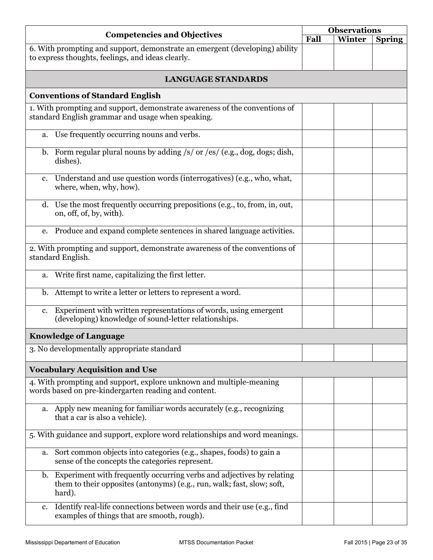|                | <b>Competencies and Objectives</b>                                                                                                                        |      | <b>Observations</b> |               |
|----------------|-----------------------------------------------------------------------------------------------------------------------------------------------------------|------|---------------------|---------------|
|                |                                                                                                                                                           | Fall | Winter              | <b>Spring</b> |
|                | 6. With prompting and support, demonstrate an emergent (developing) ability<br>to express thoughts, feelings, and ideas clearly.                          |      |                     |               |
|                | <b>LANGUAGE STANDARDS</b>                                                                                                                                 |      |                     |               |
|                | <b>Conventions of Standard English</b>                                                                                                                    |      |                     |               |
|                | 1. With prompting and support, demonstrate awareness of the conventions of                                                                                |      |                     |               |
|                | standard English grammar and usage when speaking.                                                                                                         |      |                     |               |
|                | a. Use frequently occurring nouns and verbs.                                                                                                              |      |                     |               |
|                | b. Form regular plural nouns by adding /s/ or /es/ (e.g., dog, dogs; dish,<br>dishes).                                                                    |      |                     |               |
| $c_{\cdot}$    | Understand and use question words (interrogatives) (e.g., who, what,<br>where, when, why, how).                                                           |      |                     |               |
|                | d. Use the most frequently occurring prepositions (e.g., to, from, in, out,<br>on, off, of, by, with).                                                    |      |                     |               |
|                | e. Produce and expand complete sentences in shared language activities.                                                                                   |      |                     |               |
|                | 2. With prompting and support, demonstrate awareness of the conventions of<br>standard English.                                                           |      |                     |               |
|                | a. Write first name, capitalizing the first letter.                                                                                                       |      |                     |               |
| $\mathbf{b}$ . | Attempt to write a letter or letters to represent a word.                                                                                                 |      |                     |               |
| c.             | Experiment with written representations of words, using emergent<br>(developing) knowledge of sound-letter relationships.                                 |      |                     |               |
|                | <b>Knowledge of Language</b>                                                                                                                              |      |                     |               |
|                | 3. No developmentally appropriate standard                                                                                                                |      |                     |               |
|                | <b>Vocabulary Acquisition and Use</b>                                                                                                                     |      |                     |               |
|                | 4. With prompting and support, explore unknown and multiple-meaning<br>words based on pre-kindergarten reading and content.                               |      |                     |               |
|                | a. Apply new meaning for familiar words accurately (e.g., recognizing<br>that a car is also a vehicle).                                                   |      |                     |               |
|                | 5. With guidance and support, explore word relationships and word meanings.                                                                               |      |                     |               |
| a.             | Sort common objects into categories (e.g., shapes, foods) to gain a<br>sense of the concepts the categories represent.                                    |      |                     |               |
| $\mathbf{b}$ . | Experiment with frequently occurring verbs and adjectives by relating<br>them to their opposites (antonyms) (e.g., run, walk; fast, slow; soft,<br>hard). |      |                     |               |
| c.             | Identify real-life connections between words and their use (e.g., find<br>examples of things that are smooth, rough).                                     |      |                     |               |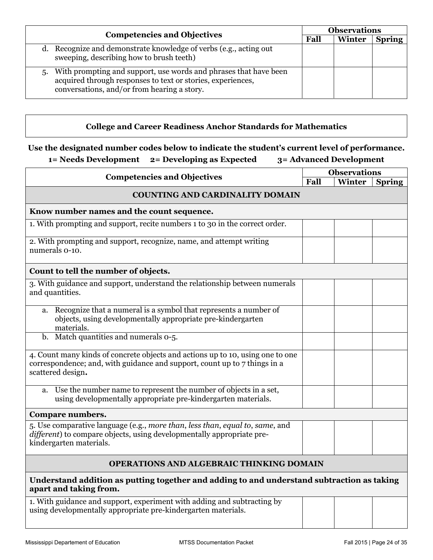| <b>Competencies and Objectives</b>                                                                                                                                                   | <b>Observations</b> |        |               |
|--------------------------------------------------------------------------------------------------------------------------------------------------------------------------------------|---------------------|--------|---------------|
|                                                                                                                                                                                      | Fall                | Winter | <b>Spring</b> |
| d. Recognize and demonstrate knowledge of verbs (e.g., acting out<br>sweeping, describing how to brush teeth)                                                                        |                     |        |               |
| With prompting and support, use words and phrases that have been<br>5.<br>acquired through responses to text or stories, experiences,<br>conversations, and/or from hearing a story. |                     |        |               |

# **College and Career Readiness Anchor Standards for Mathematics**

# **Use the designated number codes below to indicate the student's current level of performance.**

# **1= Needs Development 2= Developing as Expected 3= Advanced Development**

| <b>Competencies and Objectives</b>                                                                                                                                               |      | <b>Observations</b> |               |  |  |
|----------------------------------------------------------------------------------------------------------------------------------------------------------------------------------|------|---------------------|---------------|--|--|
|                                                                                                                                                                                  | Fall | Winter              | <b>Spring</b> |  |  |
| <b>COUNTING AND CARDINALITY DOMAIN</b>                                                                                                                                           |      |                     |               |  |  |
| Know number names and the count sequence.                                                                                                                                        |      |                     |               |  |  |
| 1. With prompting and support, recite numbers 1 to 30 in the correct order.                                                                                                      |      |                     |               |  |  |
| 2. With prompting and support, recognize, name, and attempt writing<br>numerals 0-10.                                                                                            |      |                     |               |  |  |
| Count to tell the number of objects.                                                                                                                                             |      |                     |               |  |  |
| 3. With guidance and support, understand the relationship between numerals<br>and quantities.                                                                                    |      |                     |               |  |  |
| Recognize that a numeral is a symbol that represents a number of<br>a.<br>objects, using developmentally appropriate pre-kindergarten<br>materials.                              |      |                     |               |  |  |
| b. Match quantities and numerals 0-5.                                                                                                                                            |      |                     |               |  |  |
| 4. Count many kinds of concrete objects and actions up to 10, using one to one<br>correspondence; and, with guidance and support, count up to 7 things in a<br>scattered design. |      |                     |               |  |  |
| Use the number name to represent the number of objects in a set,<br>a.<br>using developmentally appropriate pre-kindergarten materials.                                          |      |                     |               |  |  |
| Compare numbers.                                                                                                                                                                 |      |                     |               |  |  |
| 5. Use comparative language (e.g., more than, less than, equal to, same, and<br>different) to compare objects, using developmentally appropriate pre-<br>kindergarten materials. |      |                     |               |  |  |
| <b>OPERATIONS AND ALGEBRAIC THINKING DOMAIN</b>                                                                                                                                  |      |                     |               |  |  |
| Understand addition as putting together and adding to and understand subtraction as taking<br>apart and taking from.                                                             |      |                     |               |  |  |
| 1. With guidance and support, experiment with adding and subtracting by<br>using developmentally appropriate pre-kindergarten materials.                                         |      |                     |               |  |  |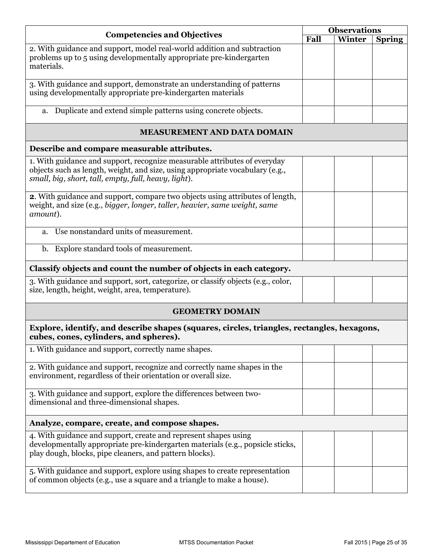|                                                                                                                                                                                                                    |      |        | <b>Observations</b> |
|--------------------------------------------------------------------------------------------------------------------------------------------------------------------------------------------------------------------|------|--------|---------------------|
| <b>Competencies and Objectives</b>                                                                                                                                                                                 | Fall | Winter | <b>Spring</b>       |
| 2. With guidance and support, model real-world addition and subtraction<br>problems up to 5 using developmentally appropriate pre-kindergarten<br>materials.                                                       |      |        |                     |
| 3. With guidance and support, demonstrate an understanding of patterns<br>using developmentally appropriate pre-kindergarten materials                                                                             |      |        |                     |
| a. Duplicate and extend simple patterns using concrete objects.                                                                                                                                                    |      |        |                     |
| <b>MEASUREMENT AND DATA DOMAIN</b>                                                                                                                                                                                 |      |        |                     |
| Describe and compare measurable attributes.                                                                                                                                                                        |      |        |                     |
| 1. With guidance and support, recognize measurable attributes of everyday<br>objects such as length, weight, and size, using appropriate vocabulary (e.g.,<br>small, big, short, tall, empty, full, heavy, light). |      |        |                     |
| 2. With guidance and support, compare two objects using attributes of length,<br>weight, and size (e.g., bigger, longer, taller, heavier, same weight, same<br>amount).                                            |      |        |                     |
| a. Use nonstandard units of measurement.                                                                                                                                                                           |      |        |                     |
| b. Explore standard tools of measurement.                                                                                                                                                                          |      |        |                     |
| Classify objects and count the number of objects in each category.                                                                                                                                                 |      |        |                     |
| 3. With guidance and support, sort, categorize, or classify objects (e.g., color,<br>size, length, height, weight, area, temperature).                                                                             |      |        |                     |
| <b>GEOMETRY DOMAIN</b>                                                                                                                                                                                             |      |        |                     |
| Explore, identify, and describe shapes (squares, circles, triangles, rectangles, hexagons,<br>cubes, cones, cylinders, and spheres).                                                                               |      |        |                     |
| 1. With guidance and support, correctly name shapes.                                                                                                                                                               |      |        |                     |
| 2. With guidance and support, recognize and correctly name shapes in the<br>environment, regardless of their orientation or overall size.                                                                          |      |        |                     |
| 3. With guidance and support, explore the differences between two-<br>dimensional and three-dimensional shapes.                                                                                                    |      |        |                     |
| Analyze, compare, create, and compose shapes.                                                                                                                                                                      |      |        |                     |
| 4. With guidance and support, create and represent shapes using<br>developmentally appropriate pre-kindergarten materials (e.g., popsicle sticks,<br>play dough, blocks, pipe cleaners, and pattern blocks).       |      |        |                     |
| 5. With guidance and support, explore using shapes to create representation<br>of common objects (e.g., use a square and a triangle to make a house).                                                              |      |        |                     |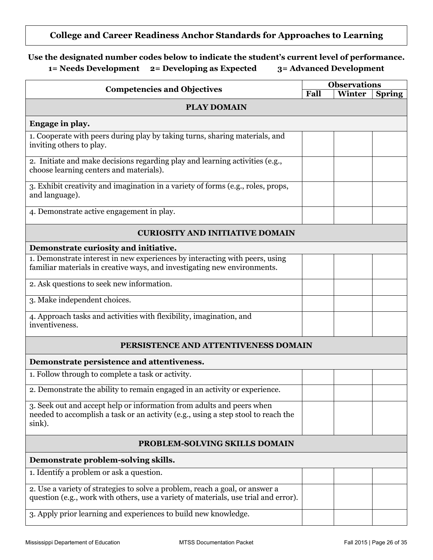# **College and Career Readiness Anchor Standards for Approaches to Learning**

| <b>Competencies and Objectives</b>                                                                                                                                   | <b>Observations</b> |        |               |  |
|----------------------------------------------------------------------------------------------------------------------------------------------------------------------|---------------------|--------|---------------|--|
|                                                                                                                                                                      | Fall                | Winter | <b>Spring</b> |  |
| <b>PLAY DOMAIN</b>                                                                                                                                                   |                     |        |               |  |
| Engage in play.                                                                                                                                                      |                     |        |               |  |
| 1. Cooperate with peers during play by taking turns, sharing materials, and<br>inviting others to play.                                                              |                     |        |               |  |
| 2. Initiate and make decisions regarding play and learning activities (e.g.,<br>choose learning centers and materials).                                              |                     |        |               |  |
| 3. Exhibit creativity and imagination in a variety of forms (e.g., roles, props,<br>and language).                                                                   |                     |        |               |  |
| 4. Demonstrate active engagement in play.                                                                                                                            |                     |        |               |  |
| <b>CURIOSITY AND INITIATIVE DOMAIN</b>                                                                                                                               |                     |        |               |  |
| Demonstrate curiosity and initiative.                                                                                                                                |                     |        |               |  |
| 1. Demonstrate interest in new experiences by interacting with peers, using<br>familiar materials in creative ways, and investigating new environments.              |                     |        |               |  |
| 2. Ask questions to seek new information.                                                                                                                            |                     |        |               |  |
| 3. Make independent choices.                                                                                                                                         |                     |        |               |  |
| 4. Approach tasks and activities with flexibility, imagination, and<br>inventiveness.                                                                                |                     |        |               |  |
| PERSISTENCE AND ATTENTIVENESS DOMAIN                                                                                                                                 |                     |        |               |  |
| Demonstrate persistence and attentiveness.                                                                                                                           |                     |        |               |  |
| 1. Follow through to complete a task or activity.                                                                                                                    |                     |        |               |  |
| 2. Demonstrate the ability to remain engaged in an activity or experience.                                                                                           |                     |        |               |  |
| 3. Seek out and accept help or information from adults and peers when<br>needed to accomplish a task or an activity (e.g., using a step stool to reach the<br>sink). |                     |        |               |  |
| PROBLEM-SOLVING SKILLS DOMAIN                                                                                                                                        |                     |        |               |  |
| Demonstrate problem-solving skills.                                                                                                                                  |                     |        |               |  |
| 1. Identify a problem or ask a question.                                                                                                                             |                     |        |               |  |
| 2. Use a variety of strategies to solve a problem, reach a goal, or answer a<br>question (e.g., work with others, use a variety of materials, use trial and error).  |                     |        |               |  |
| 3. Apply prior learning and experiences to build new knowledge.                                                                                                      |                     |        |               |  |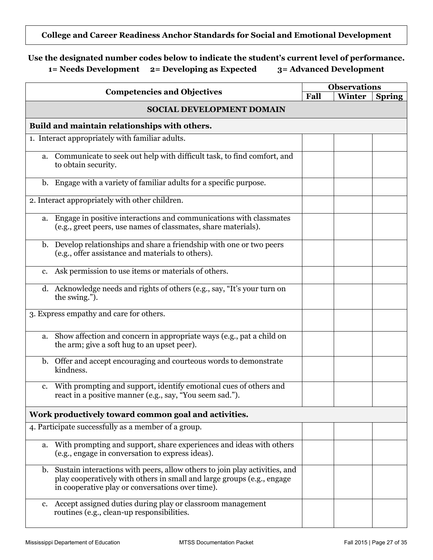**College and Career Readiness Anchor Standards for Social and Emotional Development** 

| <b>Competencies and Objectives</b>                                                                                                                                                                             | <b>Observations</b> |        |               |  |
|----------------------------------------------------------------------------------------------------------------------------------------------------------------------------------------------------------------|---------------------|--------|---------------|--|
|                                                                                                                                                                                                                | Fall                | Winter | <b>Spring</b> |  |
| SOCIAL DEVELOPMENT DOMAIN                                                                                                                                                                                      |                     |        |               |  |
| Build and maintain relationships with others.                                                                                                                                                                  |                     |        |               |  |
| 1. Interact appropriately with familiar adults.                                                                                                                                                                |                     |        |               |  |
| Communicate to seek out help with difficult task, to find comfort, and<br>a.<br>to obtain security.                                                                                                            |                     |        |               |  |
| b. Engage with a variety of familiar adults for a specific purpose.                                                                                                                                            |                     |        |               |  |
| 2. Interact appropriately with other children.                                                                                                                                                                 |                     |        |               |  |
| a. Engage in positive interactions and communications with classmates<br>(e.g., greet peers, use names of classmates, share materials).                                                                        |                     |        |               |  |
| b. Develop relationships and share a friendship with one or two peers<br>(e.g., offer assistance and materials to others).                                                                                     |                     |        |               |  |
| Ask permission to use items or materials of others.<br>c.                                                                                                                                                      |                     |        |               |  |
| d. Acknowledge needs and rights of others (e.g., say, "It's your turn on<br>the swing.").                                                                                                                      |                     |        |               |  |
| 3. Express empathy and care for others.                                                                                                                                                                        |                     |        |               |  |
| Show affection and concern in appropriate ways (e.g., pat a child on<br>a.<br>the arm; give a soft hug to an upset peer).                                                                                      |                     |        |               |  |
| b. Offer and accept encouraging and courteous words to demonstrate<br>kindness.                                                                                                                                |                     |        |               |  |
| With prompting and support, identify emotional cues of others and<br>$c_{\cdot}$<br>react in a positive manner (e.g., say, "You seem sad.").                                                                   |                     |        |               |  |
| Work productively toward common goal and activities.                                                                                                                                                           |                     |        |               |  |
| 4. Participate successfully as a member of a group.                                                                                                                                                            |                     |        |               |  |
| With prompting and support, share experiences and ideas with others<br>a.<br>(e.g., engage in conversation to express ideas).                                                                                  |                     |        |               |  |
| Sustain interactions with peers, allow others to join play activities, and<br>b.<br>play cooperatively with others in small and large groups (e.g., engage<br>in cooperative play or conversations over time). |                     |        |               |  |
| Accept assigned duties during play or classroom management<br>c.<br>routines (e.g., clean-up responsibilities.                                                                                                 |                     |        |               |  |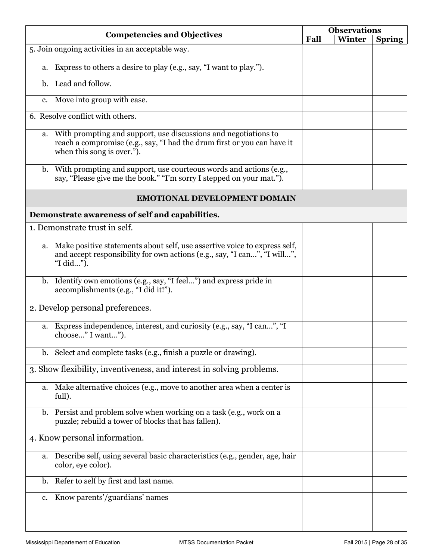|    |                                                                                                                                                                          | <b>Observations</b><br><b>Competencies and Objectives</b> |        |               |
|----|--------------------------------------------------------------------------------------------------------------------------------------------------------------------------|-----------------------------------------------------------|--------|---------------|
|    |                                                                                                                                                                          | Fall                                                      | Winter | <b>Spring</b> |
|    | 5. Join ongoing activities in an acceptable way.                                                                                                                         |                                                           |        |               |
| a. | Express to others a desire to play (e.g., say, "I want to play.").                                                                                                       |                                                           |        |               |
|    | b. Lead and follow.                                                                                                                                                      |                                                           |        |               |
| c. | Move into group with ease.                                                                                                                                               |                                                           |        |               |
|    | 6. Resolve conflict with others.                                                                                                                                         |                                                           |        |               |
| a. | With prompting and support, use discussions and negotiations to<br>reach a compromise (e.g., say, "I had the drum first or you can have it<br>when this song is over."). |                                                           |        |               |
|    | b. With prompting and support, use courteous words and actions (e.g.,<br>say, "Please give me the book." "I'm sorry I stepped on your mat.").                            |                                                           |        |               |
|    | <b>EMOTIONAL DEVELOPMENT DOMAIN</b>                                                                                                                                      |                                                           |        |               |
|    | Demonstrate awareness of self and capabilities.                                                                                                                          |                                                           |        |               |
|    | 1. Demonstrate trust in self.                                                                                                                                            |                                                           |        |               |
| a. | Make positive statements about self, use assertive voice to express self,<br>and accept responsibility for own actions (e.g., say, "I can", "I will",<br>"I did").       |                                                           |        |               |
|    | b. Identify own emotions (e.g., say, "I feel") and express pride in<br>accomplishments (e.g., "I did it!").                                                              |                                                           |        |               |
|    | 2. Develop personal preferences.                                                                                                                                         |                                                           |        |               |
|    | a. Express independence, interest, and curiosity (e.g., say, "I can", "I<br>choose" I want").                                                                            |                                                           |        |               |
|    | b. Select and complete tasks (e.g., finish a puzzle or drawing).                                                                                                         |                                                           |        |               |
|    | 3. Show flexibility, inventiveness, and interest in solving problems.                                                                                                    |                                                           |        |               |
|    | a. Make alternative choices (e.g., move to another area when a center is<br>full).                                                                                       |                                                           |        |               |
| b. | Persist and problem solve when working on a task (e.g., work on a<br>puzzle; rebuild a tower of blocks that has fallen).                                                 |                                                           |        |               |
|    | 4. Know personal information.                                                                                                                                            |                                                           |        |               |
| a. | Describe self, using several basic characteristics (e.g., gender, age, hair<br>color, eye color).                                                                        |                                                           |        |               |
|    | b. Refer to self by first and last name.                                                                                                                                 |                                                           |        |               |
| c. | Know parents'/guardians' names                                                                                                                                           |                                                           |        |               |
|    |                                                                                                                                                                          |                                                           |        |               |
|    |                                                                                                                                                                          |                                                           |        |               |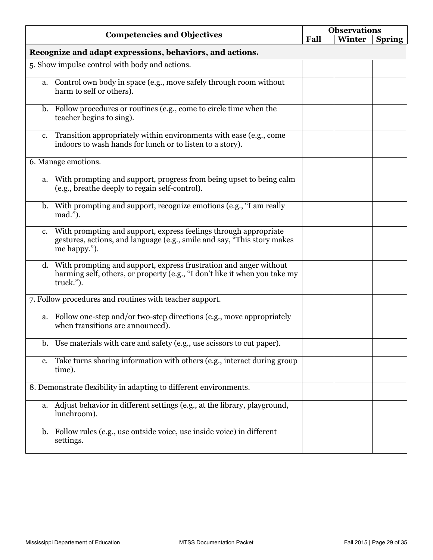|             |                                                                                                                                                                 | <b>Observations</b> |        |               |
|-------------|-----------------------------------------------------------------------------------------------------------------------------------------------------------------|---------------------|--------|---------------|
|             | <b>Competencies and Objectives</b>                                                                                                                              | Fall                | Winter | <b>Spring</b> |
|             | Recognize and adapt expressions, behaviors, and actions.                                                                                                        |                     |        |               |
|             | 5. Show impulse control with body and actions.                                                                                                                  |                     |        |               |
|             | a. Control own body in space (e.g., move safely through room without<br>harm to self or others).                                                                |                     |        |               |
|             | b. Follow procedures or routines (e.g., come to circle time when the<br>teacher begins to sing).                                                                |                     |        |               |
|             | c. Transition appropriately within environments with ease (e.g., come<br>indoors to wash hands for lunch or to listen to a story).                              |                     |        |               |
|             | 6. Manage emotions.                                                                                                                                             |                     |        |               |
|             | a. With prompting and support, progress from being upset to being calm<br>(e.g., breathe deeply to regain self-control).                                        |                     |        |               |
|             | b. With prompting and support, recognize emotions (e.g., "I am really<br>mad.").                                                                                |                     |        |               |
| $c_{\cdot}$ | With prompting and support, express feelings through appropriate<br>gestures, actions, and language (e.g., smile and say, "This story makes<br>me happy.").     |                     |        |               |
|             | d. With prompting and support, express frustration and anger without<br>harming self, others, or property (e.g., "I don't like it when you take my<br>truck."). |                     |        |               |
|             | 7. Follow procedures and routines with teacher support.                                                                                                         |                     |        |               |
| a.          | Follow one-step and/or two-step directions (e.g., move appropriately<br>when transitions are announced).                                                        |                     |        |               |
|             | b. Use materials with care and safety (e.g., use scissors to cut paper).                                                                                        |                     |        |               |
| $c_{\cdot}$ | Take turns sharing information with others (e.g., interact during group<br>time).                                                                               |                     |        |               |
|             | 8. Demonstrate flexibility in adapting to different environments.                                                                                               |                     |        |               |
|             | a. Adjust behavior in different settings (e.g., at the library, playground,<br>lunchroom).                                                                      |                     |        |               |
|             | b. Follow rules (e.g., use outside voice, use inside voice) in different<br>settings.                                                                           |                     |        |               |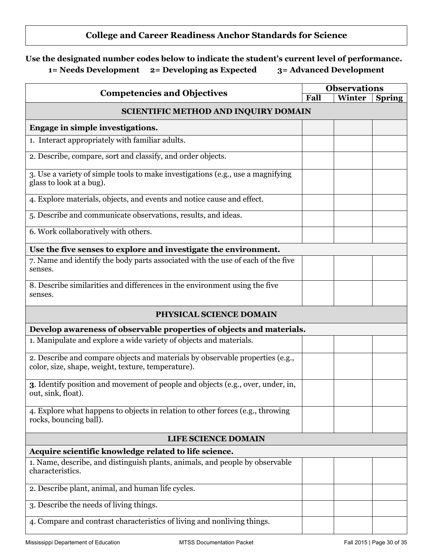# **College and Career Readiness Anchor Standards for Science**

| <b>Competencies and Objectives</b>                                                                                                  | <b>Observations</b> |        |               |
|-------------------------------------------------------------------------------------------------------------------------------------|---------------------|--------|---------------|
|                                                                                                                                     | Fall                | Winter | <b>Spring</b> |
| <b>SCIENTIFIC METHOD AND INQUIRY DOMAIN</b>                                                                                         |                     |        |               |
| Engage in simple investigations.                                                                                                    |                     |        |               |
| 1. Interact appropriately with familiar adults.                                                                                     |                     |        |               |
| 2. Describe, compare, sort and classify, and order objects.                                                                         |                     |        |               |
| 3. Use a variety of simple tools to make investigations (e.g., use a magnifying<br>glass to look at a bug).                         |                     |        |               |
| 4. Explore materials, objects, and events and notice cause and effect.                                                              |                     |        |               |
| 5. Describe and communicate observations, results, and ideas.                                                                       |                     |        |               |
| 6. Work collaboratively with others.                                                                                                |                     |        |               |
| Use the five senses to explore and investigate the environment.                                                                     |                     |        |               |
| 7. Name and identify the body parts associated with the use of each of the five<br>senses.                                          |                     |        |               |
| 8. Describe similarities and differences in the environment using the five<br>senses.                                               |                     |        |               |
| PHYSICAL SCIENCE DOMAIN                                                                                                             |                     |        |               |
| Develop awareness of observable properties of objects and materials.                                                                |                     |        |               |
| 1. Manipulate and explore a wide variety of objects and materials.                                                                  |                     |        |               |
| 2. Describe and compare objects and materials by observable properties (e.g.,<br>color, size, shape, weight, texture, temperature). |                     |        |               |
| <b>3.</b> Identify position and movement of people and objects (e.g., over, under, in,<br>out, sink, float).                        |                     |        |               |
| 4. Explore what happens to objects in relation to other forces (e.g., throwing<br>rocks, bouncing ball).                            |                     |        |               |
| <b>LIFE SCIENCE DOMAIN</b>                                                                                                          |                     |        |               |
| Acquire scientific knowledge related to life science.                                                                               |                     |        |               |
| 1. Name, describe, and distinguish plants, animals, and people by observable<br>characteristics.                                    |                     |        |               |
| 2. Describe plant, animal, and human life cycles.                                                                                   |                     |        |               |
| 3. Describe the needs of living things.                                                                                             |                     |        |               |
| 4. Compare and contrast characteristics of living and nonliving things.                                                             |                     |        |               |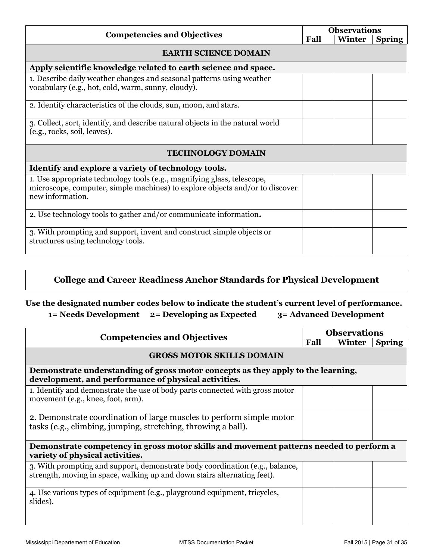|                                                                                                                                                                             | <b>Observations</b> |        |               |  |  |  |
|-----------------------------------------------------------------------------------------------------------------------------------------------------------------------------|---------------------|--------|---------------|--|--|--|
| <b>Competencies and Objectives</b>                                                                                                                                          | Fall                | Winter | <b>Spring</b> |  |  |  |
| <b>EARTH SCIENCE DOMAIN</b>                                                                                                                                                 |                     |        |               |  |  |  |
| Apply scientific knowledge related to earth science and space.                                                                                                              |                     |        |               |  |  |  |
| 1. Describe daily weather changes and seasonal patterns using weather<br>vocabulary (e.g., hot, cold, warm, sunny, cloudy).                                                 |                     |        |               |  |  |  |
| 2. Identify characteristics of the clouds, sun, moon, and stars.                                                                                                            |                     |        |               |  |  |  |
| 3. Collect, sort, identify, and describe natural objects in the natural world<br>(e.g., rocks, soil, leaves).                                                               |                     |        |               |  |  |  |
| <b>TECHNOLOGY DOMAIN</b>                                                                                                                                                    |                     |        |               |  |  |  |
| Identify and explore a variety of technology tools.                                                                                                                         |                     |        |               |  |  |  |
| 1. Use appropriate technology tools (e.g., magnifying glass, telescope,<br>microscope, computer, simple machines) to explore objects and/or to discover<br>new information. |                     |        |               |  |  |  |
| 2. Use technology tools to gather and/or communicate information.                                                                                                           |                     |        |               |  |  |  |
| 3. With prompting and support, invent and construct simple objects or<br>structures using technology tools.                                                                 |                     |        |               |  |  |  |

# **College and Career Readiness Anchor Standards for Physical Development**

| <b>Competencies and Objectives</b>                                                                                                                       | <b>Observations</b> |        |               |  |
|----------------------------------------------------------------------------------------------------------------------------------------------------------|---------------------|--------|---------------|--|
|                                                                                                                                                          | Fall                | Winter | <b>Spring</b> |  |
| <b>GROSS MOTOR SKILLS DOMAIN</b>                                                                                                                         |                     |        |               |  |
| Demonstrate understanding of gross motor concepts as they apply to the learning,<br>development, and performance of physical activities.                 |                     |        |               |  |
| 1. Identify and demonstrate the use of body parts connected with gross motor<br>movement (e.g., knee, foot, arm).                                        |                     |        |               |  |
| 2. Demonstrate coordination of large muscles to perform simple motor<br>tasks (e.g., climbing, jumping, stretching, throwing a ball).                    |                     |        |               |  |
| Demonstrate competency in gross motor skills and movement patterns needed to perform a<br>variety of physical activities.                                |                     |        |               |  |
| 3. With prompting and support, demonstrate body coordination (e.g., balance,<br>strength, moving in space, walking up and down stairs alternating feet). |                     |        |               |  |
| 4. Use various types of equipment (e.g., playground equipment, tricycles,<br>slides).                                                                    |                     |        |               |  |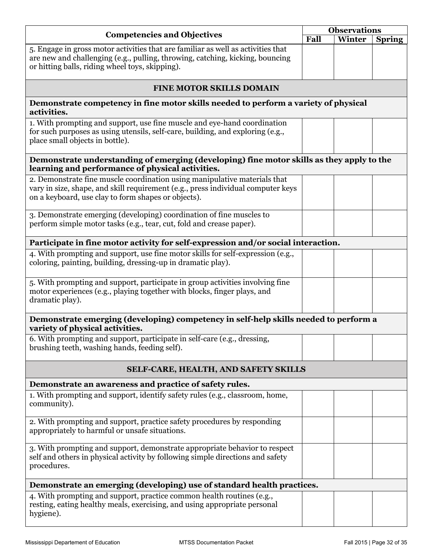|                                                                                                                                                                                                                      | <b>Observations</b> |        |               |
|----------------------------------------------------------------------------------------------------------------------------------------------------------------------------------------------------------------------|---------------------|--------|---------------|
| <b>Competencies and Objectives</b>                                                                                                                                                                                   | Fall                | Winter | <b>Spring</b> |
| 5. Engage in gross motor activities that are familiar as well as activities that<br>are new and challenging (e.g., pulling, throwing, catching, kicking, bouncing<br>or hitting balls, riding wheel toys, skipping). |                     |        |               |
| <b>FINE MOTOR SKILLS DOMAIN</b>                                                                                                                                                                                      |                     |        |               |
| Demonstrate competency in fine motor skills needed to perform a variety of physical<br>activities.                                                                                                                   |                     |        |               |
| 1. With prompting and support, use fine muscle and eye-hand coordination<br>for such purposes as using utensils, self-care, building, and exploring (e.g.,<br>place small objects in bottle).                        |                     |        |               |
| Demonstrate understanding of emerging (developing) fine motor skills as they apply to the<br>learning and performance of physical activities.                                                                        |                     |        |               |
| 2. Demonstrate fine muscle coordination using manipulative materials that<br>vary in size, shape, and skill requirement (e.g., press individual computer keys<br>on a keyboard, use clay to form shapes or objects). |                     |        |               |
| 3. Demonstrate emerging (developing) coordination of fine muscles to<br>perform simple motor tasks (e.g., tear, cut, fold and crease paper).                                                                         |                     |        |               |
| Participate in fine motor activity for self-expression and/or social interaction.                                                                                                                                    |                     |        |               |
| 4. With prompting and support, use fine motor skills for self-expression (e.g.,<br>coloring, painting, building, dressing-up in dramatic play).                                                                      |                     |        |               |
| 5. With prompting and support, participate in group activities involving fine<br>motor experiences (e.g., playing together with blocks, finger plays, and<br>dramatic play).                                         |                     |        |               |
| Demonstrate emerging (developing) competency in self-help skills needed to perform a<br>variety of physical activities.                                                                                              |                     |        |               |
| 6. With prompting and support, participate in self-care (e.g., dressing,<br>brushing teeth, washing hands, feeding self).                                                                                            |                     |        |               |
| SELF-CARE, HEALTH, AND SAFETY SKILLS                                                                                                                                                                                 |                     |        |               |
| Demonstrate an awareness and practice of safety rules.                                                                                                                                                               |                     |        |               |
| 1. With prompting and support, identify safety rules (e.g., classroom, home,<br>community).                                                                                                                          |                     |        |               |
| 2. With prompting and support, practice safety procedures by responding<br>appropriately to harmful or unsafe situations.                                                                                            |                     |        |               |
| 3. With prompting and support, demonstrate appropriate behavior to respect<br>self and others in physical activity by following simple directions and safety<br>procedures.                                          |                     |        |               |
| Demonstrate an emerging (developing) use of standard health practices.                                                                                                                                               |                     |        |               |
| 4. With prompting and support, practice common health routines (e.g.,<br>resting, eating healthy meals, exercising, and using appropriate personal<br>hygiene).                                                      |                     |        |               |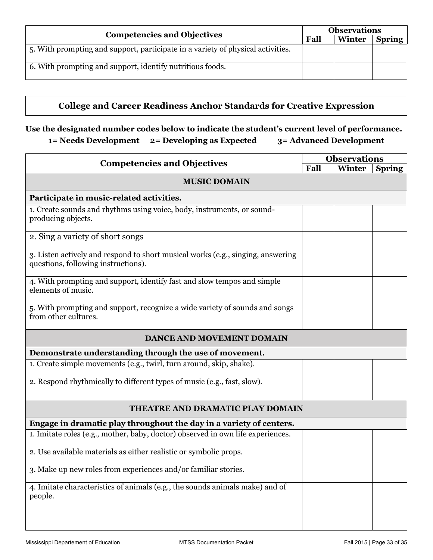| <b>Competencies and Objectives</b>                                              | <b>Observations</b> |        |               |
|---------------------------------------------------------------------------------|---------------------|--------|---------------|
|                                                                                 | Fall                | Winter | <b>Spring</b> |
| 5. With prompting and support, participate in a variety of physical activities. |                     |        |               |
| 6. With prompting and support, identify nutritious foods.                       |                     |        |               |

# **College and Career Readiness Anchor Standards for Creative Expression**

| <b>Competencies and Objectives</b>                                                                                     | <b>Observations</b> |        |               |
|------------------------------------------------------------------------------------------------------------------------|---------------------|--------|---------------|
|                                                                                                                        | Fall                | Winter | <b>Spring</b> |
| <b>MUSIC DOMAIN</b>                                                                                                    |                     |        |               |
| Participate in music-related activities.                                                                               |                     |        |               |
| 1. Create sounds and rhythms using voice, body, instruments, or sound-<br>producing objects.                           |                     |        |               |
| 2. Sing a variety of short songs                                                                                       |                     |        |               |
| 3. Listen actively and respond to short musical works (e.g., singing, answering<br>questions, following instructions). |                     |        |               |
| 4. With prompting and support, identify fast and slow tempos and simple<br>elements of music.                          |                     |        |               |
| 5. With prompting and support, recognize a wide variety of sounds and songs<br>from other cultures.                    |                     |        |               |
| <b>DANCE AND MOVEMENT DOMAIN</b>                                                                                       |                     |        |               |
| Demonstrate understanding through the use of movement.                                                                 |                     |        |               |
| 1. Create simple movements (e.g., twirl, turn around, skip, shake).                                                    |                     |        |               |
| 2. Respond rhythmically to different types of music (e.g., fast, slow).                                                |                     |        |               |
| THEATRE AND DRAMATIC PLAY DOMAIN                                                                                       |                     |        |               |
| Engage in dramatic play throughout the day in a variety of centers.                                                    |                     |        |               |
| 1. Imitate roles (e.g., mother, baby, doctor) observed in own life experiences.                                        |                     |        |               |
| 2. Use available materials as either realistic or symbolic props.                                                      |                     |        |               |
| 3. Make up new roles from experiences and/or familiar stories.                                                         |                     |        |               |
| 4. Imitate characteristics of animals (e.g., the sounds animals make) and of<br>people.                                |                     |        |               |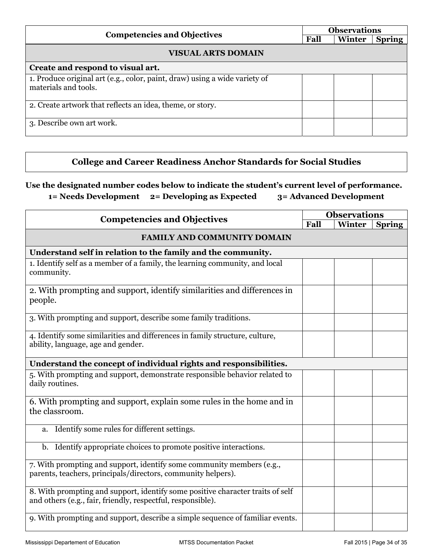| <b>Competencies and Objectives</b>                                                                 | <b>Observations</b> |        |               |
|----------------------------------------------------------------------------------------------------|---------------------|--------|---------------|
|                                                                                                    | Fall                | Winter | <b>Spring</b> |
| <b>VISUAL ARTS DOMAIN</b>                                                                          |                     |        |               |
| Create and respond to visual art.                                                                  |                     |        |               |
| 1. Produce original art (e.g., color, paint, draw) using a wide variety of<br>materials and tools. |                     |        |               |
| 2. Create artwork that reflects an idea, theme, or story.                                          |                     |        |               |
| 3. Describe own art work.                                                                          |                     |        |               |

# **College and Career Readiness Anchor Standards for Social Studies**

**Use the designated number codes below to indicate the student's current level of performance.** 

**1= Needs Development 2= Developing as Expected 3= Advanced Development** 

| <b>Competencies and Objectives</b>                                                                                                            | <b>Observations</b> |        |               |
|-----------------------------------------------------------------------------------------------------------------------------------------------|---------------------|--------|---------------|
|                                                                                                                                               | Fall                | Winter | <b>Spring</b> |
| <b>FAMILY AND COMMUNITY DOMAIN</b>                                                                                                            |                     |        |               |
| Understand self in relation to the family and the community.                                                                                  |                     |        |               |
| 1. Identify self as a member of a family, the learning community, and local<br>community.                                                     |                     |        |               |
| 2. With prompting and support, identify similarities and differences in<br>people.                                                            |                     |        |               |
| 3. With prompting and support, describe some family traditions.                                                                               |                     |        |               |
| 4. Identify some similarities and differences in family structure, culture,<br>ability, language, age and gender.                             |                     |        |               |
| Understand the concept of individual rights and responsibilities.                                                                             |                     |        |               |
| 5. With prompting and support, demonstrate responsible behavior related to<br>daily routines.                                                 |                     |        |               |
| 6. With prompting and support, explain some rules in the home and in<br>the classroom.                                                        |                     |        |               |
| Identify some rules for different settings.<br>a.                                                                                             |                     |        |               |
| b. Identify appropriate choices to promote positive interactions.                                                                             |                     |        |               |
| 7. With prompting and support, identify some community members (e.g.,<br>parents, teachers, principals/directors, community helpers).         |                     |        |               |
| 8. With prompting and support, identify some positive character traits of self<br>and others (e.g., fair, friendly, respectful, responsible). |                     |        |               |
| 9. With prompting and support, describe a simple sequence of familiar events.                                                                 |                     |        |               |